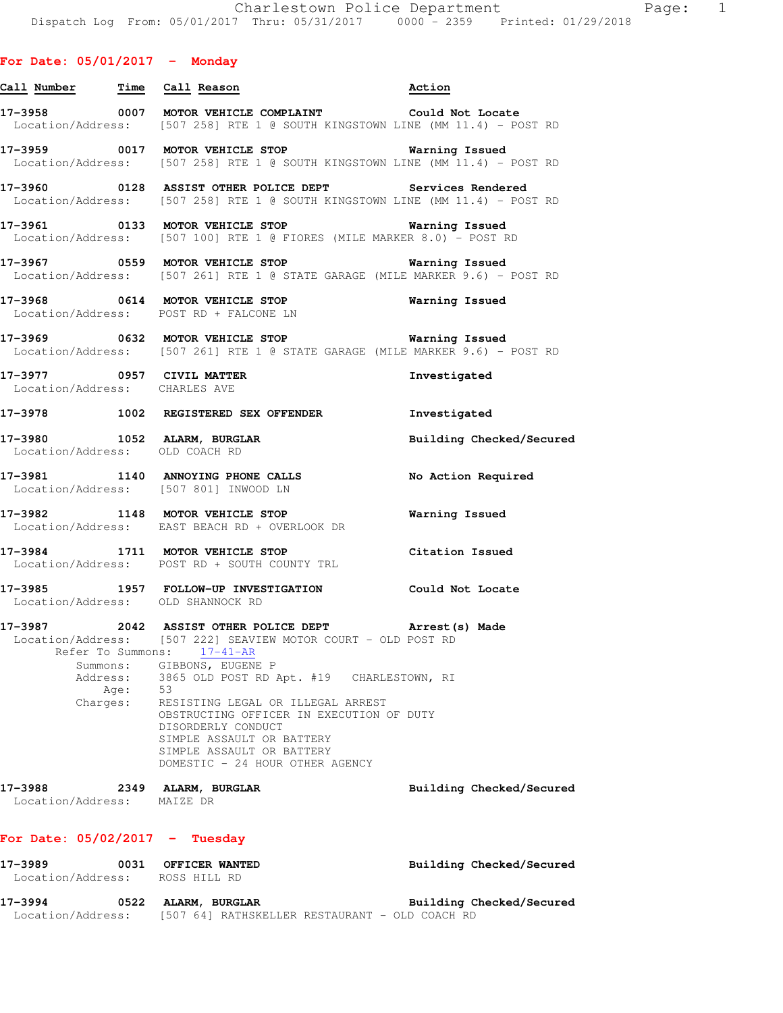# **For Date: 05/01/2017 - Monday**

|                                                            |      | Call Number Time Call Reason                                                                                                                                                                                                                                                                                                                                                                                           | Action                   |
|------------------------------------------------------------|------|------------------------------------------------------------------------------------------------------------------------------------------------------------------------------------------------------------------------------------------------------------------------------------------------------------------------------------------------------------------------------------------------------------------------|--------------------------|
|                                                            |      | 17-3958 0007 MOTOR VEHICLE COMPLAINT Could Not Locate<br>Location/Address: [507 258] RTE 1 @ SOUTH KINGSTOWN LINE (MM 11.4) - POST RD                                                                                                                                                                                                                                                                                  |                          |
|                                                            |      | 17-3959 0017 MOTOR VEHICLE STOP <b>120 Marning Issued</b><br>Location/Address: [507 258] RTE 1 @ SOUTH KINGSTOWN LINE (MM 11.4) - POST RD                                                                                                                                                                                                                                                                              |                          |
|                                                            |      | 17-3960 6128 ASSIST OTHER POLICE DEPT Services Rendered<br>Location/Address: [507 258] RTE 1 @ SOUTH KINGSTOWN LINE (MM 11.4) - POST RD                                                                                                                                                                                                                                                                                |                          |
|                                                            |      | 17-3961 0133 MOTOR VEHICLE STOP <b>Warning Issued</b><br>Location/Address: [507 100] RTE 1 @ FIORES (MILE MARKER 8.0) - POST RD                                                                                                                                                                                                                                                                                        |                          |
|                                                            |      | 17-3967                0559   MOTOR VEHICLE STOP                         Warning Issued<br>Location/Address: [507 261] RTE 1 @ STATE GARAGE (MILE MARKER 9.6) - POST RD                                                                                                                                                                                                                                                |                          |
|                                                            |      | 17-3968 0614 MOTOR VEHICLE STOP<br>Location/Address: POST RD + FALCONE LN                                                                                                                                                                                                                                                                                                                                              | <b>Warning Issued</b>    |
|                                                            |      | 17-3969 0632 MOTOR VEHICLE STOP <b>Exam Example 19</b> Warning Issued<br>Location/Address: [507 261] RTE 1 @ STATE GARAGE (MILE MARKER 9.6) - POST RD                                                                                                                                                                                                                                                                  |                          |
| 17-3977 0957 CIVIL MATTER<br>Location/Address: CHARLES AVE |      |                                                                                                                                                                                                                                                                                                                                                                                                                        | Investigated             |
|                                                            |      | 17-3978 1002 REGISTERED SEX OFFENDER Investigated                                                                                                                                                                                                                                                                                                                                                                      |                          |
| Location/Address: OLD COACH RD                             |      | 17-3980 1052 ALARM, BURGLAR                                                                                                                                                                                                                                                                                                                                                                                            | Building Checked/Secured |
|                                                            |      | 17-3981 1140 ANNOYING PHONE CALLS No Action Required<br>Location/Address: [507 801] INWOOD LN                                                                                                                                                                                                                                                                                                                          |                          |
|                                                            |      | 17-3982 1148 MOTOR VEHICLE STOP<br>Location/Address: EAST BEACH RD + OVERLOOK DR                                                                                                                                                                                                                                                                                                                                       | Warning Issued           |
|                                                            |      | 17-3984 1711 MOTOR VEHICLE STOP<br>Location/Address: POST RD + SOUTH COUNTY TRL                                                                                                                                                                                                                                                                                                                                        | Citation Issued          |
|                                                            |      | 17-3985 1957 FOLLOW-UP INVESTIGATION Could Not Locate<br>Location/Address: OLD SHANNOCK RD                                                                                                                                                                                                                                                                                                                             |                          |
| Reter To Summons:<br>Summons:<br>Address:<br>Charges:      | Age: | 17-3987 2042 ASSIST OTHER POLICE DEPT Arrest (s) Made<br>Location/Address: [507 222] SEAVIEW MOTOR COURT - OLD POST RD<br>$17 - 41 - AR$<br>GIBBONS, EUGENE P<br>3865 OLD POST RD Apt. #19 CHARLESTOWN, RI<br>- 53<br>RESISTING LEGAL OR ILLEGAL ARREST<br>OBSTRUCTING OFFICER IN EXECUTION OF DUTY<br>DISORDERLY CONDUCT<br>SIMPLE ASSAULT OR BATTERY<br>SIMPLE ASSAULT OR BATTERY<br>DOMESTIC - 24 HOUR OTHER AGENCY |                          |
| 17-3988<br>Location/Address:                               |      | 2349 ALARM, BURGLAR<br>MAIZE DR                                                                                                                                                                                                                                                                                                                                                                                        | Building Checked/Secured |

# **For Date: 05/02/2017 - Tuesday**

| 17–3989           | 0031 | <b>OFFICER WANTED</b>                          | Building Checked/Secured |
|-------------------|------|------------------------------------------------|--------------------------|
| Location/Address: |      | ROSS HILL RD                                   |                          |
| 17–3994           | 0522 | ALARM, BURGLAR                                 | Building Checked/Secured |
| Location/Address: |      | [507 64] RATHSKELLER RESTAURANT - OLD COACH RD |                          |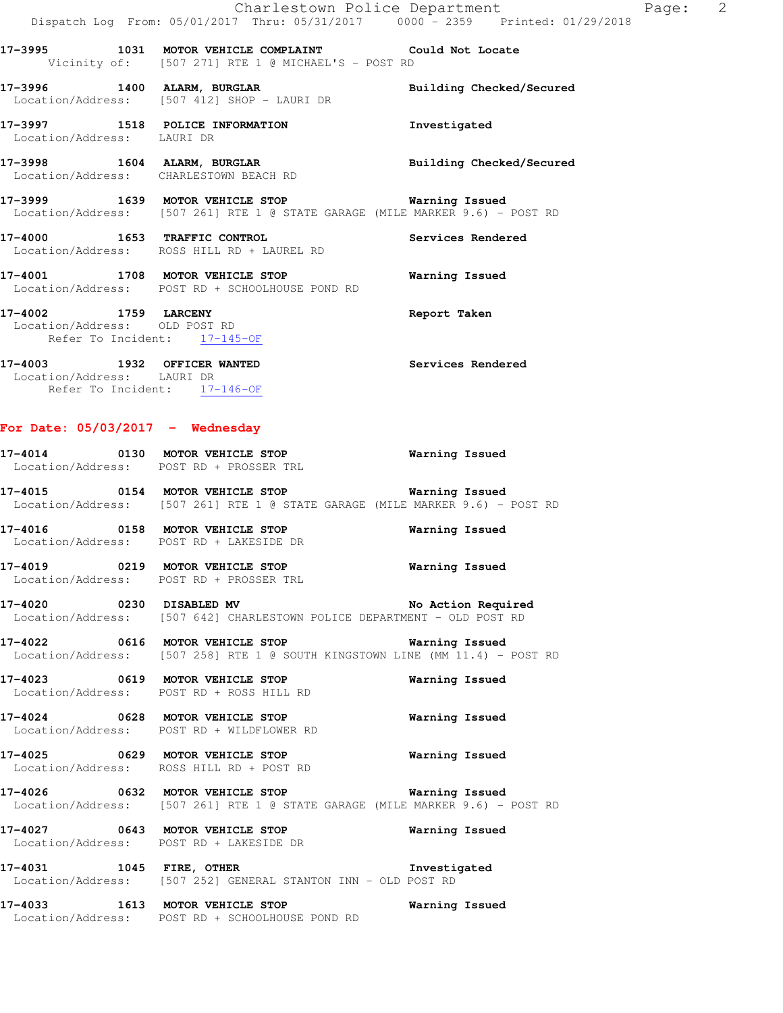Location/Address: LAURI DR 17-3998 1604 ALARM, BURGLAR **Building Checked/Secured** 

Location/Address: CHARLESTOWN BEACH RD

**17-3999 1639 MOTOR VEHICLE STOP Warning Issued**  Location/Address: [507 261] RTE 1 @ STATE GARAGE (MILE MARKER 9.6) - POST RD

**17-4000 1653 TRAFFIC CONTROL Services Rendered**  Location/Address: ROSS HILL RD + LAUREL RD

**17-4001 1708 MOTOR VEHICLE STOP Warning Issued**  Location/Address: POST RD + SCHOOLHOUSE POND RD

**17-4002 1759 LARCENY Report Taken**  Location/Address: OLD POST RD Refer To Incident: 17-145-OF

#### **17-4003 1932 OFFICER WANTED Services Rendered**  Location/Address: LAURI DR Refer To Incident: 17-146-OF

### **For Date: 05/03/2017 - Wednesday**

| Location/Address: POST RD + PROSSER TRL                                                                                                                                                   |                       |  |
|-------------------------------------------------------------------------------------------------------------------------------------------------------------------------------------------|-----------------------|--|
| Location/Address: [507 261] RTE 1 @ STATE GARAGE (MILE MARKER 9.6) - POST RD                                                                                                              |                       |  |
| Location/Address: POST RD + LAKESIDE DR                                                                                                                                                   |                       |  |
| 17-4019 0219 MOTOR VEHICLE STOP<br>Location/Address: POST RD + PROSSER TRL                                                                                                                | <b>Warning Issued</b> |  |
| 17-4020 0230 DISABLED MV No Action Required<br>Location/Address: [507 642] CHARLESTOWN POLICE DEPARTMENT - OLD POST RD                                                                    |                       |  |
| 17-4022 0616 MOTOR VEHICLE STOP <b>Warning Issued</b><br>Location/Address: [507 258] RTE 1 @ SOUTH KINGSTOWN LINE (MM 11.4) - POST RD                                                     |                       |  |
| 17-4023 0619 MOTOR VEHICLE STOP<br>Location/Address: POST RD + ROSS HILL RD                                                                                                               | Warning Issued        |  |
| 17-4024 0628 MOTOR VEHICLE STOP <b>Warning Issued</b><br>Location/Address: POST RD + WILDFLOWER RD                                                                                        |                       |  |
| Location/Address: ROSS HILL RD + POST RD                                                                                                                                                  |                       |  |
| 17-4026                  0632     MOTOR VEHICLE  STOP                                     Warning  Issued<br>Location/Address: [507 261] RTE 1 @ STATE GARAGE (MILE MARKER 9.6) - POST RD |                       |  |
| 17-4027 0643 MOTOR VEHICLE STOP<br>Location/Address: POST RD + LAKESIDE DR                                                                                                                | Warning Issued        |  |
| 17-4031 1045 FIRE, OTHER<br>Location/Address: [507 252] GENERAL STANTON INN - OLD POST RD                                                                                                 | Investigated          |  |
| 17-4033 1613 MOTOR VEHICLE STOP<br>Location/Address: POST RD + SCHOOLHOUSE POND RD                                                                                                        | <b>Warning Issued</b> |  |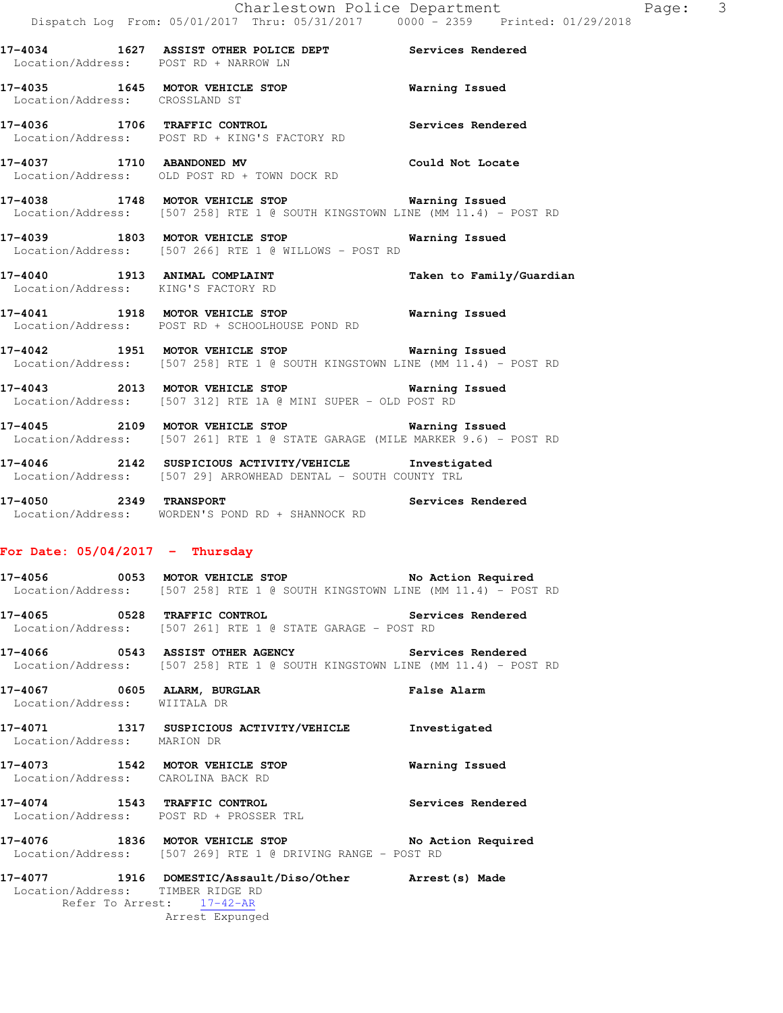|                                       | DISPACCH DOG FIOM; 00/01/2017 ININ; 00/01/2017 - 0000 = 2009 - FIINCEG; 01/                                                           |                          |
|---------------------------------------|---------------------------------------------------------------------------------------------------------------------------------------|--------------------------|
| Location/Address: POST RD + NARROW LN | 17-4034 1627 ASSIST OTHER POLICE DEPT Services Rendered                                                                               |                          |
| Location/Address: CROSSLAND ST        | 17-4035 1645 MOTOR VEHICLE STOP <b>Warning Issued</b>                                                                                 |                          |
|                                       | 17-4036 1706 TRAFFIC CONTROL 17-4036 Services Rendered<br>Location/Address: POST RD + KING'S FACTORY RD                               |                          |
|                                       | 17-4037 1710 ABANDONED MV Could Not Locate<br>Location/Address: OLD POST RD + TOWN DOCK RD                                            |                          |
|                                       | 17-4038 1748 MOTOR VEHICLE STOP <b>Marning Issued</b><br>Location/Address: [507 258] RTE 1 @ SOUTH KINGSTOWN LINE (MM 11.4) - POST RD |                          |
|                                       | 17-4039 1803 MOTOR VEHICLE STOP <b>Warning Issued</b><br>Location/Address: [507 266] RTE 1 @ WILLOWS - POST RD                        |                          |
|                                       | 17-4040 1913 ANIMAL COMPLAINT<br>Location/Address: KING'S FACTORY RD                                                                  | Taken to Family/Guardian |
|                                       | 17-4041 1918 MOTOR VEHICLE STOP <b>Warning Issued</b><br>Location/Address: POST RD + SCHOOLHOUSE POND RD                              |                          |
|                                       | 17-4042 1951 MOTOR VEHICLE STOP <b>Warning Issued</b><br>Location/Address: [507 258] RTE 1 @ SOUTH KINGSTOWN LINE (MM 11.4) - POST RD |                          |
|                                       | 17-4043 2013 MOTOR VEHICLE STOP 6 Warning Issued<br>Location/Address: [507 312] RTE 1A @ MINI SUPER - OLD POST RD                     |                          |
|                                       | 17-4045 2109 MOTOR VEHICLE STOP <b>Naming Issued</b><br>Location/Address: [507 261] RTE 1 @ STATE GARAGE (MILE MARKER 9.6) - POST RD  |                          |

**17-4046 2142 SUSPICIOUS ACTIVITY/VEHICLE Investigated**  Location/Address: [507 29] ARROWHEAD DENTAL - SOUTH COUNTY TRL

**17-4050 2349 TRANSPORT Services Rendered**  Location/Address: WORDEN'S POND RD + SHANNOCK RD

### **For Date: 05/04/2017 - Thursday**

**17-4056 0053 MOTOR VEHICLE STOP No Action Required**  Location/Address: [507 258] RTE 1 @ SOUTH KINGSTOWN LINE (MM 11.4) - POST RD

**17-4065 0528 TRAFFIC CONTROL Services Rendered**  Location/Address: [507 261] RTE 1 @ STATE GARAGE - POST RD

**17-4066 0543 ASSIST OTHER AGENCY Services Rendered**  Location/Address: [507 258] RTE 1 @ SOUTH KINGSTOWN LINE (MM 11.4) - POST RD

**17-4067 0605 ALARM, BURGLAR False Alarm**  Location/Address: WIITALA DR

**17-4071 1317 SUSPICIOUS ACTIVITY/VEHICLE Investigated**  Location/Address: MARION DR

**17-4073 1542 MOTOR VEHICLE STOP Warning Issued**  Location/Address: CAROLINA BACK RD

**17-4074 1543 TRAFFIC CONTROL Services Rendered**  Location/Address: POST RD + PROSSER TRL

**17-4076 1836 MOTOR VEHICLE STOP No Action Required**  Location/Address: [507 269] RTE 1 @ DRIVING RANGE - POST RD

**17-4077 1916 DOMESTIC/Assault/Diso/Other Arrest(s) Made**  Location/Address: TIMBER RIDGE RD Refer To Arrest: 17-42-AR Arrest Expunged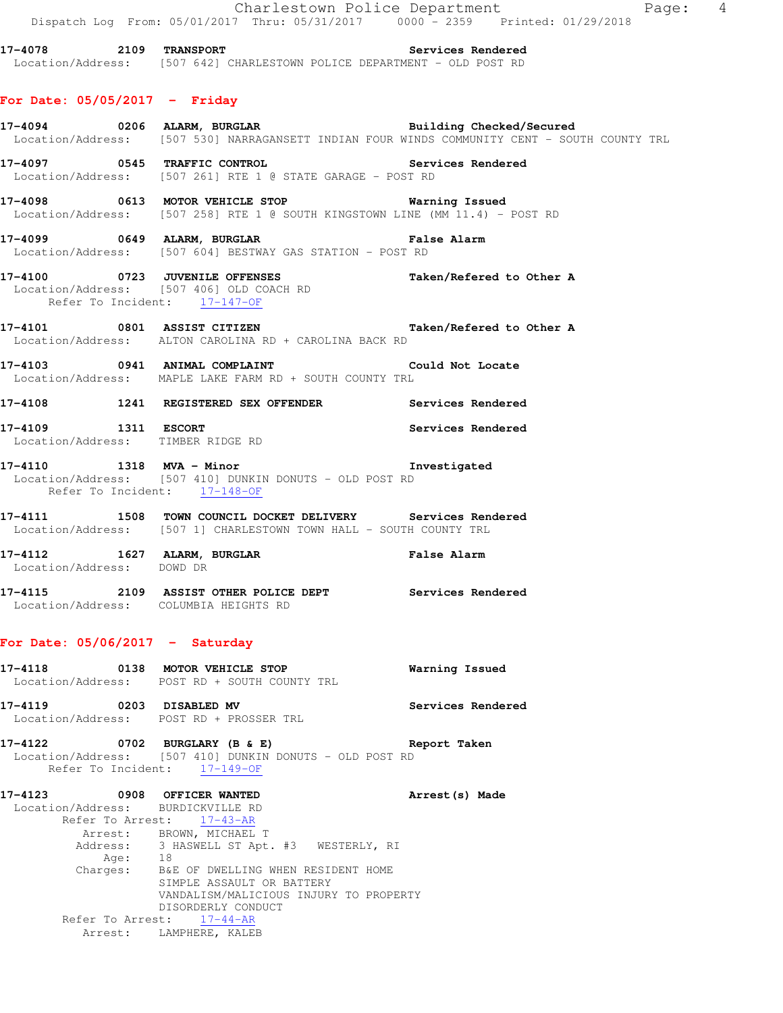|                                                                  | Dispatch Log From: 05/01/2017 Thru: 05/31/2017 0000 - 2359 Printed: 01/29/2018                                                                                        | Charlestown Police Department | Page: 4 |  |
|------------------------------------------------------------------|-----------------------------------------------------------------------------------------------------------------------------------------------------------------------|-------------------------------|---------|--|
|                                                                  | 17-4078 2109 TRANSPORT 2000 2000 Services Rendered<br>Location/Address: [507 642] CHARLESTOWN POLICE DEPARTMENT - OLD POST RD                                         |                               |         |  |
| For Date: 05/05/2017 - Friday                                    |                                                                                                                                                                       |                               |         |  |
|                                                                  | 17-4094       0206 ALARM, BURGLAR            Building Checked/Secured<br>Location/Address: [507 530] NARRAGANSETT INDIAN FOUR WINDS COMMUNITY CENT - SOUTH COUNTY TRL |                               |         |  |
|                                                                  | 17-4097 0545 TRAFFIC CONTROL<br>Location/Address: [507 261] RTE 1 @ STATE GARAGE - POST RD                                                                            | Services Rendered             |         |  |
|                                                                  | 17-4098 0613 MOTOR VEHICLE STOP <b>Exam Example 19</b> Warning Issued<br>Location/Address: [507 258] RTE 1 @ SOUTH KINGSTOWN LINE (MM 11.4) - POST RD                 |                               |         |  |
|                                                                  | 17-4099 0649 ALARM, BURGLAR NE SANDER SERIES ALARM<br>Location/Address: [507 604] BESTWAY GAS STATION - POST RD                                                       |                               |         |  |
| Refer To Incident: 17-147-OF                                     | 17-4100 0723 JUVENILE OFFENSES<br>Location/Address: [507 406] OLD COACH RD                                                                                            | Taken/Refered to Other A      |         |  |
|                                                                  | 17-4101 0801 ASSIST CITIZEN Taken/Refered to Other A<br>Location/Address: ALTON CAROLINA RD + CAROLINA BACK RD                                                        |                               |         |  |
|                                                                  | 17-4103 0941 ANIMAL COMPLAINT Could Not Locate<br>Location/Address: MAPLE LAKE FARM RD + SOUTH COUNTY TRL                                                             |                               |         |  |
|                                                                  | 17-4108 1241 REGISTERED SEX OFFENDER Services Rendered                                                                                                                |                               |         |  |
|                                                                  | 17-4109 1311 ESCORT<br>Location/Address: TIMBER RIDGE RD                                                                                                              | Services Rendered             |         |  |
|                                                                  | 17-4110 1318 MVA - Minor 17-4110<br>Location/Address: [507 410] DUNKIN DONUTS - OLD POST RD<br>Refer To Incident: 17-148-OF                                           |                               |         |  |
|                                                                  | 17-4111 1508 TOWN COUNCIL DOCKET DELIVERY Services Rendered<br>Location/Address: [507 1] CHARLESTOWN TOWN HALL - SOUTH COUNTY TRL                                     |                               |         |  |
| Location/Address: DOWD DR                                        | 17-4112 1627 ALARM, BURGLAR                                                                                                                                           | <b>False Alarm</b>            |         |  |
|                                                                  | 17-4115 2109 ASSIST OTHER POLICE DEPT Services Rendered<br>Location/Address: COLUMBIA HEIGHTS RD                                                                      |                               |         |  |
| For Date: $05/06/2017$ - Saturday                                |                                                                                                                                                                       |                               |         |  |
|                                                                  | 17-4118 0138 MOTOR VEHICLE STOP<br>Location/Address: POST RD + SOUTH COUNTY TRL                                                                                       | Warning Issued                |         |  |
| 17-4119 0203 DISABLED MV                                         | Location/Address: POST RD + PROSSER TRL                                                                                                                               | Services Rendered             |         |  |
|                                                                  | 17-4122 0702 BURGLARY (B & E)<br>Location/Address: [507 410] DUNKIN DONUTS - OLD POST RD<br>Refer To Incident: 17-149-OF                                              | Report Taken                  |         |  |
| 17-4123 0908 OFFICER WANTED<br>Location/Address: BURDICKVILLE RD | Refer To Arrest: 17-43-AR<br>Arrest: BROWN, MICHAEL T<br>Address: 3 HASWELL ST Apt. #3 WESTERLY, RI<br>Age: 18<br>Charges: B&E OF DWELLING WHEN RESIDENT HOME         | Arrest (s) Made               |         |  |
|                                                                  | SIMPLE ASSAULT OR BATTERY<br>VANDALISM/MALICIOUS INJURY TO PROPERTY<br>DISORDERLY CONDUCT                                                                             |                               |         |  |
|                                                                  | Refer To Arrest: 17-44-AR<br>Arrest: LAMPHERE, KALEB                                                                                                                  |                               |         |  |
|                                                                  |                                                                                                                                                                       |                               |         |  |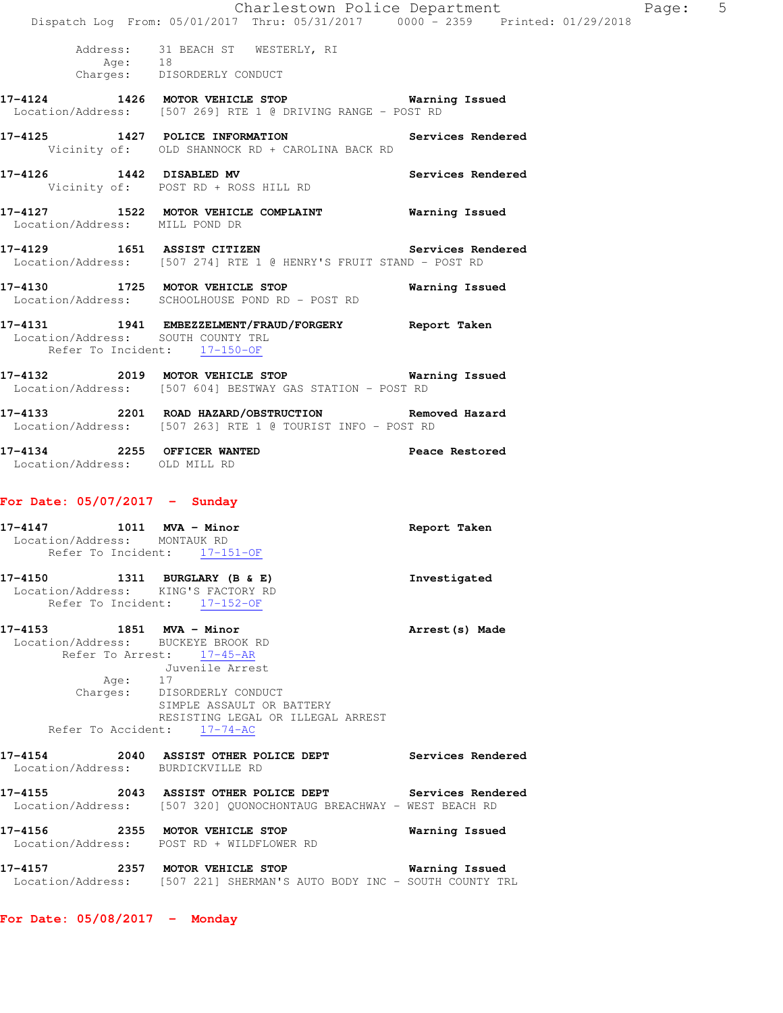|                                                                 |                                                                                                                       |                                                                        | Charlestown Police Department<br>Dispatch Log From: 05/01/2017 Thru: 05/31/2017 0000 - 2359 Printed: 01/29/2018                | 5<br>Page: |
|-----------------------------------------------------------------|-----------------------------------------------------------------------------------------------------------------------|------------------------------------------------------------------------|--------------------------------------------------------------------------------------------------------------------------------|------------|
|                                                                 | Address: 31 BEACH ST WESTERLY, RI<br>-----------<br>Age: 18<br>Charges: DISORDERLY CONDUCT                            |                                                                        |                                                                                                                                |            |
|                                                                 |                                                                                                                       | Location/Address: [507 269] RTE 1 @ DRIVING RANGE - POST RD            | 17-4124 1426 MOTOR VEHICLE STOP <b>Warning Issued</b>                                                                          |            |
|                                                                 |                                                                                                                       | Vicinity of: OLD SHANNOCK RD + CAROLINA BACK RD                        | 17-4125 1427 POLICE INFORMATION Services Rendered                                                                              |            |
| 17-4126 1442 DISABLED MV<br>Vicinity of: POST RD + ROSS HILL RD |                                                                                                                       |                                                                        | Services Rendered                                                                                                              |            |
| Location/Address: MILL POND DR                                  |                                                                                                                       |                                                                        | 17-4127 1522 MOTOR VEHICLE COMPLAINT 6 Warning Issued                                                                          |            |
|                                                                 |                                                                                                                       |                                                                        | 17-4129 1651 ASSIST CITIZEN Services Rendered<br>Location/Address: [507 274] RTE 1 @ HENRY'S FRUIT STAND - POST RD             |            |
| Location/Address: SCHOOLHOUSE POND RD - POST RD                 |                                                                                                                       |                                                                        | 17-4130 1725 MOTOR VEHICLE STOP 6 Warning Issued                                                                               |            |
| Location/Address: SOUTH COUNTY TRL                              | Refer To Incident: 17-150-OF                                                                                          |                                                                        | 17-4131 1941 EMBEZZELMENT/FRAUD/FORGERY Report Taken                                                                           |            |
| Location/Address: [507 604] BESTWAY GAS STATION - POST RD       |                                                                                                                       |                                                                        | 17-4132 2019 MOTOR VEHICLE STOP 6 Warning Issued                                                                               |            |
| Location/Address: [507 263] RTE 1 @ TOURIST INFO - POST RD      |                                                                                                                       |                                                                        | 17-4133 2201 ROAD HAZARD/OBSTRUCTION Removed Hazard                                                                            |            |
| Location/Address: OLD MILL RD                                   |                                                                                                                       |                                                                        | 17-4134 2255 OFFICER WANTED 2000 Peace Restored                                                                                |            |
| For Date: $05/07/2017$ - Sunday                                 |                                                                                                                       |                                                                        |                                                                                                                                |            |
| 17-4147 1011 MVA - Minor<br>Location/Address: MONTAUK RD        | Refer To Incident: 17-151-OF                                                                                          |                                                                        | Report Taken                                                                                                                   |            |
| 17-4150 1311 BURGLARY (B & E)                                   | Location/Address: KING'S FACTORY RD<br>Refer To Incident: $17-152-OF$                                                 |                                                                        | Investigated                                                                                                                   |            |
| 17-4153 1851 MVA - Minor<br>Location/Address: BUCKEYE BROOK RD  | Refer To Arrest: 17-45-AR<br>Juvenile Arrest<br>Age: 17<br>Charges: DISORDERLY CONDUCT<br>Refer To Accident: 17-74-AC | SIMPLE ASSAULT OR BATTERY<br>RESISTING LEGAL OR ILLEGAL ARREST         | Arrest (s) Made                                                                                                                |            |
|                                                                 | Location/Address: BURDICKVILLE RD                                                                                     |                                                                        | 17-4154 2040 ASSIST OTHER POLICE DEPT Services Rendered                                                                        |            |
|                                                                 |                                                                                                                       |                                                                        | 17-4155 2043 ASSIST OTHER POLICE DEPT Services Rendered<br>Location/Address: [507 320] QUONOCHONTAUG BREACHWAY - WEST BEACH RD |            |
| 17-4156 2355 MOTOR VEHICLE STOP                                 | Location/Address: POST RD + WILDFLOWER RD                                                                             |                                                                        | Warning Issued                                                                                                                 |            |
|                                                                 |                                                                                                                       | Location/Address: [507 221] SHERMAN'S AUTO BODY INC - SOUTH COUNTY TRL |                                                                                                                                |            |

**For Date: 05/08/2017 - Monday**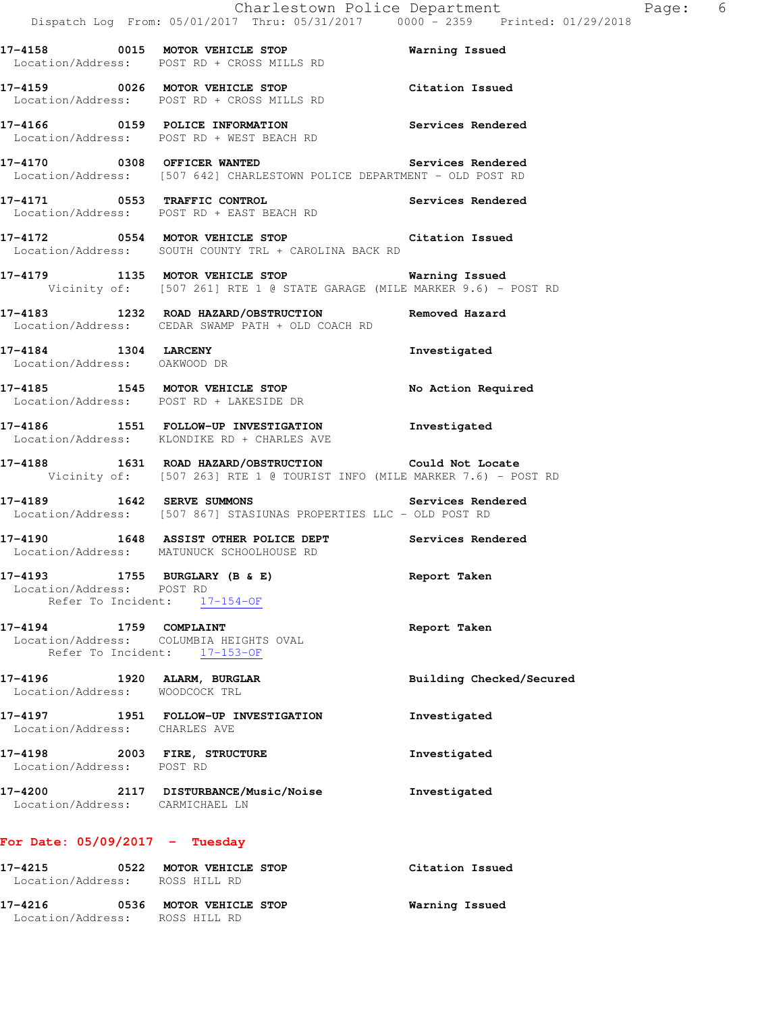**17-4159 0026 MOTOR VEHICLE STOP Citation Issued**  Location/Address: POST RD + CROSS MILLS RD

**17-4166 0159 POLICE INFORMATION Services Rendered**  Location/Address: POST RD + WEST BEACH RD

**17-4170 0308 OFFICER WANTED Services Rendered**  Location/Address: [507 642] CHARLESTOWN POLICE DEPARTMENT - OLD POST RD

**17-4171 0553 TRAFFIC CONTROL Services Rendered**  Location/Address: POST RD + EAST BEACH RD

**17-4172 0554 MOTOR VEHICLE STOP Citation Issued**  Location/Address: SOUTH COUNTY TRL + CAROLINA BACK RD

**17-4179 1135 MOTOR VEHICLE STOP Warning Issued**  Vicinity of: [507 261] RTE 1 @ STATE GARAGE (MILE MARKER 9.6) - POST RD

**17-4183 1232 ROAD HAZARD/OBSTRUCTION Removed Hazard**  Location/Address: CEDAR SWAMP PATH + OLD COACH RD

**17-4184 1304 LARCENY Investigated**  Location/Address: OAKWOOD DR

**17-4185 1545 MOTOR VEHICLE STOP No Action Required**  Location/Address: POST RD + LAKESIDE DR

**17-4186 1551 FOLLOW-UP INVESTIGATION Investigated**  Location/Address: KLONDIKE RD + CHARLES AVE

**17-4188 1631 ROAD HAZARD/OBSTRUCTION Could Not Locate**  Vicinity of: [507 263] RTE 1 @ TOURIST INFO (MILE MARKER 7.6) - POST RD

**17-4189 1642 SERVE SUMMONS Services Rendered**  Location/Address: [507 867] STASIUNAS PROPERTIES LLC - OLD POST RD

**17-4190 1648 ASSIST OTHER POLICE DEPT Services Rendered**  Location/Address: MATUNUCK SCHOOLHOUSE RD

**17-4193 1755 BURGLARY (B & E) Report Taken**  Location/Address: POST RD Refer To Incident: 17-154-OF

**17-4194 1759 COMPLAINT Report Taken**  Location/Address: COLUMBIA HEIGHTS OVAL Refer To Incident: 17-153-OF

**17-4196 1920 ALARM, BURGLAR Building Checked/Secured**  Location/Address: WOODCOCK TRL

**17-4197 1951 FOLLOW-UP INVESTIGATION Investigated**  Location/Address: CHARLES AVE **17-4198 2003 FIRE, STRUCTURE Investigated**  Location/Address: POST RD

**17-4200 2117 DISTURBANCE/Music/Noise Investigated**  Location/Address: CARMICHAEL LN

## **For Date: 05/09/2017 - Tuesday**

| 17-4215<br>0522<br>Location/Address: ROSS HILL RD | MOTOR VEHICLE STOP                        | Citation Issued |
|---------------------------------------------------|-------------------------------------------|-----------------|
| 17-4216<br>0536<br>Location/Address:              | <b>MOTOR VEHICLE STOP</b><br>ROSS HILL RD | Warning Issued  |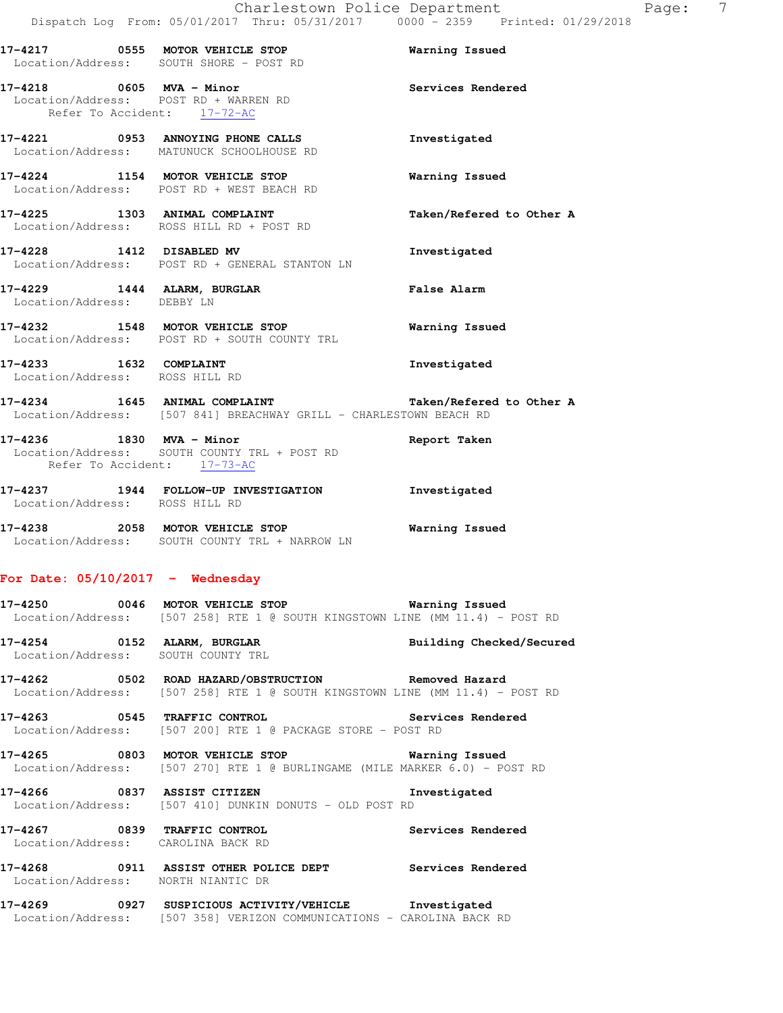| 17-4217 | 0555                      | MOTOR VEHICLE STOP<br>Location/Address: SOUTH SHORE - POST RD                       | Warning Issued           |
|---------|---------------------------|-------------------------------------------------------------------------------------|--------------------------|
| 17-4218 | 0605                      | MVA - Minor<br>Location/Address: POST RD + WARREN RD<br>Refer To Accident: 17-72-AC | Services Rendered        |
| 17-4221 | 0953                      | ANNOYING PHONE CALLS<br>Location/Address: MATUNUCK SCHOOLHOUSE RD                   | Investigated             |
| 17-4224 | 1154                      | MOTOR VEHICLE STOP<br>Location/Address: POST RD + WEST BEACH RD                     | Warning Issued           |
| 17-4225 | 1303<br>Location/Address: | ANIMAL COMPLAINT<br>ROSS HILL RD + POST RD                                          | Taken/Refered to Other A |

**17-4228 1412 DISABLED MV Investigated**  Location/Address: POST RD + GENERAL STANTON LN

**17-4229 1444 ALARM, BURGLAR False Alarm**  Location/Address: DEBBY LN

**17-4232 1548 MOTOR VEHICLE STOP Warning Issued**  Location/Address: POST RD + SOUTH COUNTY TRL

**17-4233 1632 COMPLAINT Investigated**  Location/Address: ROSS HILL RD

**17-4234 1645 ANIMAL COMPLAINT Taken/Refered to Other A**  Location/Address: [507 841] BREACHWAY GRILL - CHARLESTOWN BEACH RD

**17-4236 1830 MVA - Minor Report Taken**  Location/Address: SOUTH COUNTY TRL + POST RD Refer To Accident: 17-73-AC

**17-4237 1944 FOLLOW-UP INVESTIGATION Investigated**  Location/Address: ROSS HILL RD

**17-4238 2058 MOTOR VEHICLE STOP Warning Issued**  Location/Address: SOUTH COUNTY TRL + NARROW LN

# **For Date: 05/10/2017 - Wednesday**

**17-4250 0046 MOTOR VEHICLE STOP Warning Issued**  Location/Address: [507 258] RTE 1 @ SOUTH KINGSTOWN LINE (MM 11.4) - POST RD

**17-4254 0152 ALARM, BURGLAR Building Checked/Secured**  Location/Address: SOUTH COUNTY TRL

**17-4262 0502 ROAD HAZARD/OBSTRUCTION Removed Hazard**  Location/Address: [507 258] RTE 1 @ SOUTH KINGSTOWN LINE (MM 11.4) - POST RD

**17-4263 0545 TRAFFIC CONTROL Services Rendered**  Location/Address: [507 200] RTE 1 @ PACKAGE STORE - POST RD

**17-4265 0803 MOTOR VEHICLE STOP Warning Issued**  Location/Address: [507 270] RTE 1 @ BURLINGAME (MILE MARKER 6.0) - POST RD

**17-4266 0837 ASSIST CITIZEN Investigated**  Location/Address: [507 410] DUNKIN DONUTS - OLD POST RD

**17-4267 0839 TRAFFIC CONTROL Services Rendered**  Location/Address: CAROLINA BACK RD

**17-4268 0911 ASSIST OTHER POLICE DEPT Services Rendered**  Location/Address: NORTH NIANTIC DR

**17-4269 0927 SUSPICIOUS ACTIVITY/VEHICLE Investigated**  Location/Address: [507 358] VERIZON COMMUNICATIONS - CAROLINA BACK RD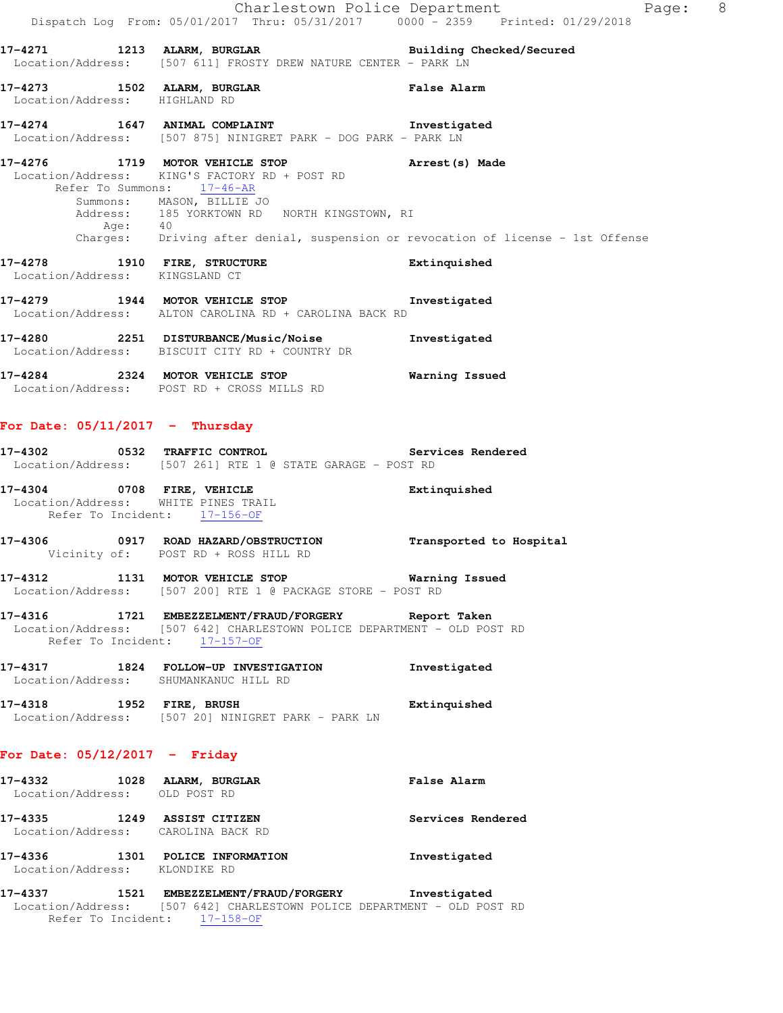Charlestown Police Department Page: 8 Dispatch Log From: 05/01/2017 Thru: 05/31/2017 0000 - 2359 Printed: 01/29/2018 **17-4271 1213 ALARM, BURGLAR Building Checked/Secured**  Location/Address: [507 611] FROSTY DREW NATURE CENTER - PARK LN **17-4273 1502 ALARM, BURGLAR False Alarm**  Location/Address: HIGHLAND RD **17-4274 1647 ANIMAL COMPLAINT Investigated**  Location/Address: [507 875] NINIGRET PARK - DOG PARK - PARK LN **17-4276 1719 MOTOR VEHICLE STOP Arrest(s) Made**  Location/Address: KING'S FACTORY RD + POST RD Refer To Summons: 17-46-AR Summons: MASON, BILLIE JO Address: 185 YORKTOWN RD NORTH KINGSTOWN, RI Age: 40 Charges: Driving after denial, suspension or revocation of license - 1st Offense **17-4278 1910 FIRE, STRUCTURE Extinquished**  Location/Address: KINGSLAND CT **17-4279 1944 MOTOR VEHICLE STOP Investigated**  Location/Address: ALTON CAROLINA RD + CAROLINA BACK RD **17-4280 2251 DISTURBANCE/Music/Noise Investigated**  Location/Address: BISCUIT CITY RD + COUNTRY DR **17-4284 2324 MOTOR VEHICLE STOP Warning Issued**  Location/Address: POST RD + CROSS MILLS RD

### **For Date: 05/11/2017 - Thursday**

| 17-4302           | 0532 TRAFFIC CONTROL |  |  |  |                                          |  | Services Rendered |
|-------------------|----------------------|--|--|--|------------------------------------------|--|-------------------|
| Location/Address: |                      |  |  |  | [507 261] RTE 1 @ STATE GARAGE – POST RD |  |                   |

| 17-4304                             | 0708 FIRE, VEHICLE |                 |  | Extinquished |
|-------------------------------------|--------------------|-----------------|--|--------------|
| Location/Address: WHITE PINES TRAIL |                    |                 |  |              |
| Refer To Incident:                  |                    | $17 - 156 - 0F$ |  |              |

- **17-4306 0917 ROAD HAZARD/OBSTRUCTION Transported to Hospital**  Vicinity of: POST RD + ROSS HILL RD
- **17-4312 1131 MOTOR VEHICLE STOP Warning Issued**  Location/Address: [507 200] RTE 1 @ PACKAGE STORE - POST RD
- **17-4316 1721 EMBEZZELMENT/FRAUD/FORGERY Report Taken**  Location/Address: [507 642] CHARLESTOWN POLICE DEPARTMENT - OLD POST RD Refer To Incident: 17-157-OF
- **17-4317 1824 FOLLOW-UP INVESTIGATION Investigated**  Location/Address: SHUMANKANUC HILL RD
- **17-4318 1952 FIRE, BRUSH Extinquished**  Location/Address: [507 20] NINIGRET PARK - PARK LN

### **For Date: 05/12/2017 - Friday**

| 17–4332<br>1028<br>Location/Address: OLD POST RD |      | ALARM, BURGLAR                                       | <b>False Alarm</b> |
|--------------------------------------------------|------|------------------------------------------------------|--------------------|
| 17-4335                                          | 1249 | ASSIST CITIZEN<br>Location/Address: CAROLINA BACK RD | Services Rendered  |
| 17-4336                                          | 1301 | POLICE INFORMATION<br>Location/Address: KLONDIKE RD  | Investigated       |

**17-4337 1521 EMBEZZELMENT/FRAUD/FORGERY Investigated**  Location/Address: [507 642] CHARLESTOWN POLICE DEPARTMENT - OLD POST RD Refer To Incident: 17-158-OF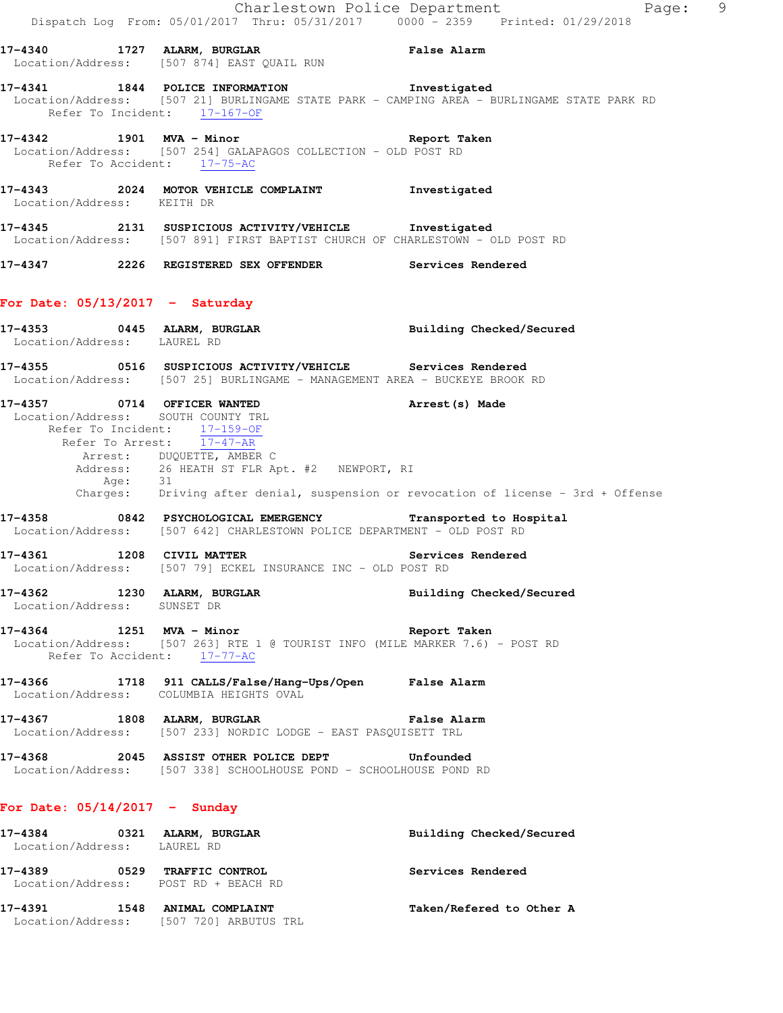|                                                                                               |                                                                                        |                                                         | Charlestown Police Department<br>Dispatch Log From: 05/01/2017 Thru: 05/31/2017 0000 <sup>-</sup> 2359 Printed: 01/29/2018                                                                    | Page: 9 |  |
|-----------------------------------------------------------------------------------------------|----------------------------------------------------------------------------------------|---------------------------------------------------------|-----------------------------------------------------------------------------------------------------------------------------------------------------------------------------------------------|---------|--|
| Location/Address: [507 874] EAST QUAIL RUN                                                    |                                                                                        |                                                         | 17-4340 1727 ALARM, BURGLAR <b>Example 19</b> False Alarm                                                                                                                                     |         |  |
|                                                                                               |                                                                                        |                                                         | 17-4341 1844 POLICE INFORMATION 17-4341 Investigated<br>Location/Address: [507 21] BURLINGAME STATE PARK - CAMPING AREA - BURLINGAME STATE PARK RD<br>Refer To Incident: $\frac{17-167-OF}{}$ |         |  |
| Location/Address: [507 254] GALAPAGOS COLLECTION - OLD POST RD<br>Refer To Accident: 17-75-AC |                                                                                        |                                                         | 17-4342 1901 MVA - Minor the second that the second that the second second the second second that the second s                                                                                |         |  |
| Location/Address: KEITH DR                                                                    |                                                                                        |                                                         | 17-4343 2024 MOTOR VEHICLE COMPLAINT Threstigated                                                                                                                                             |         |  |
|                                                                                               |                                                                                        |                                                         | 17-4345 2131 SUSPICIOUS ACTIVITY/VEHICLE Investigated<br>Location/Address: [507 891] FIRST BAPTIST CHURCH OF CHARLESTOWN - OLD POST RD                                                        |         |  |
|                                                                                               |                                                                                        |                                                         | 17-4347 2226 REGISTERED SEX OFFENDER Services Rendered                                                                                                                                        |         |  |
| For Date: $05/13/2017$ - Saturday                                                             |                                                                                        |                                                         |                                                                                                                                                                                               |         |  |
| Location/Address: LAUREL RD                                                                   |                                                                                        |                                                         | 17-4353 0445 ALARM, BURGLAR BURGLAR Building Checked/Secured                                                                                                                                  |         |  |
|                                                                                               |                                                                                        |                                                         | Location/Address: [507 25] BURLINGAME - MANAGEMENT AREA - BUCKEYE BROOK RD                                                                                                                    |         |  |
| Location/Address: SOUTH COUNTY TRL                                                            | Refer To Incident: 17-159-OF<br>Refer To Arrest: 17-47-AR<br>Arrest: DUQUETTE, AMBER C | Address: 26 HEATH ST FLR Apt. #2 NEWPORT, RI<br>Age: 31 | 17-4357 0714 OFFICER WANTED <b>Arrest</b> (s) Made<br>Charges: Driving after denial, suspension or revocation of license - 3rd + Offense                                                      |         |  |
|                                                                                               |                                                                                        |                                                         | 17-4358 0842 PSYCHOLOGICAL EMERGENCY Transported to Hospital<br>Location/Address: [507 642] CHARLESTOWN POLICE DEPARTMENT - OLD POST RD                                                       |         |  |
| 17-4361 1208 CIVIL MATTER<br>Location/Address: [507 79] ECKEL INSURANCE INC - OLD POST RD     |                                                                                        |                                                         | Services Rendered                                                                                                                                                                             |         |  |
| 17-4362 1230 ALARM, BURGLAR<br>Location/Address: SUNSET DR                                    |                                                                                        |                                                         | Building Checked/Secured                                                                                                                                                                      |         |  |
| Refer To Accident: 17-77-AC                                                                   |                                                                                        |                                                         | 17-4364 1251 MVA - Minor Channel Report Taken<br>Location/Address: [507 263] RTE 1 @ TOURIST INFO (MILE MARKER 7.6) - POST RD                                                                 |         |  |
| Location/Address: COLUMBIA HEIGHTS OVAL                                                       |                                                                                        |                                                         |                                                                                                                                                                                               |         |  |
| Location/Address: [507 233] NORDIC LODGE - EAST PASQUISETT TRL                                |                                                                                        |                                                         | 17-4367 1808 ALARM, BURGLAR 1999 1999 Palse Alarm                                                                                                                                             |         |  |
| 17-4368 2045 ASSIST OTHER POLICE DEPT Unfounded                                               |                                                                                        |                                                         | Location/Address: [507 338] SCHOOLHOUSE POND - SCHOOLHOUSE POND RD                                                                                                                            |         |  |
| For Date: $05/14/2017 -$ Sunday                                                               |                                                                                        |                                                         |                                                                                                                                                                                               |         |  |
| 17-4384 0321 ALARM, BURGLAR<br>Location/Address: LAUREL RD                                    |                                                                                        |                                                         | Building Checked/Secured                                                                                                                                                                      |         |  |
| 17-4389 0529 TRAFFIC CONTROL<br>Location/Address: POST RD + BEACH RD                          |                                                                                        |                                                         | Services Rendered                                                                                                                                                                             |         |  |
| 17-4391 1548 ANIMAL COMPLAINT<br>Location/Address: [507 720] ARBUTUS TRL                      |                                                                                        |                                                         | Taken/Refered to Other A                                                                                                                                                                      |         |  |
|                                                                                               |                                                                                        |                                                         |                                                                                                                                                                                               |         |  |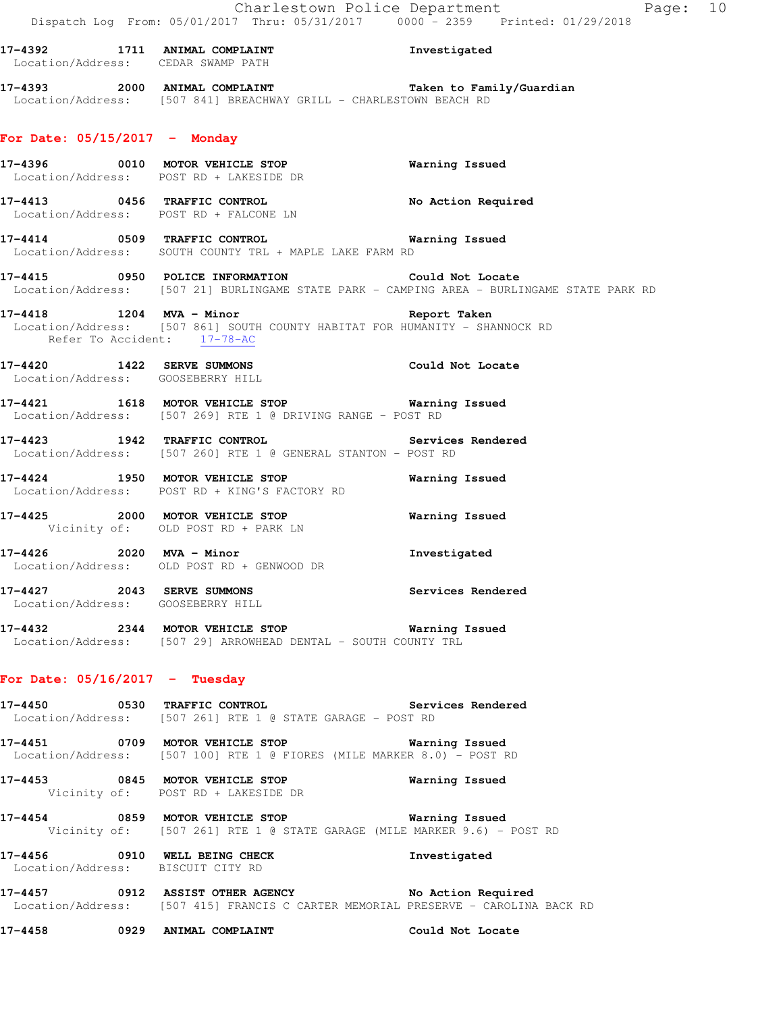**17-4392 1711 ANIMAL COMPLAINT Investigated**  Location/Address: CEDAR SWAMP PATH **17-4393 2000 ANIMAL COMPLAINT Taken to Family/Guardian**  Location/Address: [507 841] BREACHWAY GRILL - CHARLESTOWN BEACH RD **For Date: 05/15/2017 - Monday 17-4396 0010 MOTOR VEHICLE STOP Warning Issued**  Location/Address: POST RD + LAKESIDE DR **17-4413 0456 TRAFFIC CONTROL No Action Required**  Location/Address: POST RD + FALCONE LN **17-4414 0509 TRAFFIC CONTROL Warning Issued**  Location/Address: SOUTH COUNTY TRL + MAPLE LAKE FARM RD **17-4415 0950 POLICE INFORMATION Could Not Locate**  Location/Address: [507 21] BURLINGAME STATE PARK - CAMPING AREA - BURLINGAME STATE PARK RD **17-4418 1204 MVA - Minor Report Taken**  Location/Address: [507 861] SOUTH COUNTY HABITAT FOR HUMANITY - SHANNOCK RD Refer To Accident: 17-78-AC **17-4420 1422 SERVE SUMMONS Could Not Locate**  Location/Address: GOOSEBERRY HILL **17-4421 1618 MOTOR VEHICLE STOP Warning Issued**  Location/Address: [507 269] RTE 1 @ DRIVING RANGE - POST RD **17-4423 1942 TRAFFIC CONTROL Services Rendered**  Location/Address: [507 260] RTE 1 @ GENERAL STANTON - POST RD **17-4424 1950 MOTOR VEHICLE STOP Warning Issued**  Location/Address: POST RD + KING'S FACTORY RD **17-4425 2000 MOTOR VEHICLE STOP Warning Issued**  Vicinity of: OLD POST RD + PARK LN **17-4426 2020 MVA - Minor Investigated**  Location/Address: OLD POST RD + GENWOOD DR **17-4427 2043 SERVE SUMMONS Services Rendered**  Location/Address: GOOSEBERRY HILL **17-4432 2344 MOTOR VEHICLE STOP Warning Issued**  Location/Address: [507 29] ARROWHEAD DENTAL - SOUTH COUNTY TRL **For Date: 05/16/2017 - Tuesday 17-4450 0530 TRAFFIC CONTROL Services Rendered**  Location/Address: [507 261] RTE 1 @ STATE GARAGE - POST RD **17-4451 0709 MOTOR VEHICLE STOP Warning Issued**  Location/Address: [507 100] RTE 1 @ FIORES (MILE MARKER 8.0) - POST RD **17-4453 0845 MOTOR VEHICLE STOP Warning Issued**  Vicinity of: POST RD + LAKESIDE DR **17-4454 0859 MOTOR VEHICLE STOP Warning Issued**  Vicinity of: [507 261] RTE 1 @ STATE GARAGE (MILE MARKER 9.6) - POST RD **17-4456 0910 WELL BEING CHECK Investigated**  Location/Address: BISCUIT CITY RD

**17-4457 0912 ASSIST OTHER AGENCY No Action Required**  Location/Address: [507 415] FRANCIS C CARTER MEMORIAL PRESERVE - CAROLINA BACK RD

**17-4458 0929 ANIMAL COMPLAINT Could Not Locate**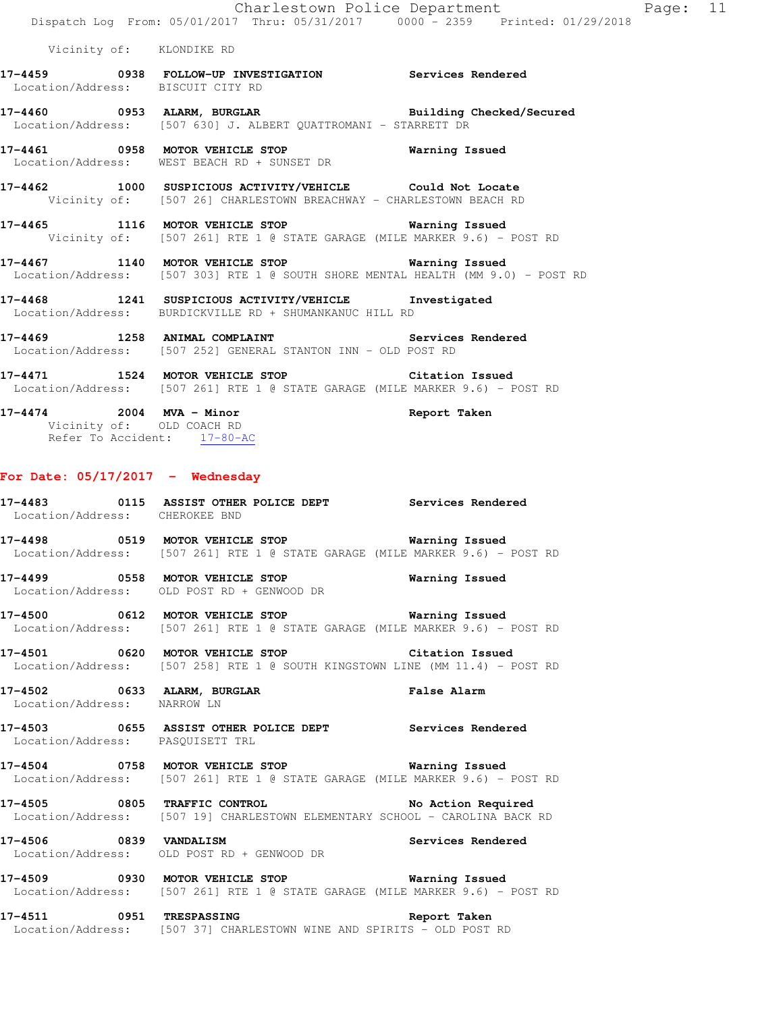Vicinity of: KLONDIKE RD

- **17-4459 0938 FOLLOW-UP INVESTIGATION Services Rendered**  Location/Address: BISCUIT CITY RD
- **17-4460 0953 ALARM, BURGLAR Building Checked/Secured**  Location/Address: [507 630] J. ALBERT QUATTROMANI - STARRETT DR
- **17-4461 0958 MOTOR VEHICLE STOP Warning Issued**  Location/Address: WEST BEACH RD + SUNSET DR
- **17-4462 1000 SUSPICIOUS ACTIVITY/VEHICLE Could Not Locate**  Vicinity of: [507 26] CHARLESTOWN BREACHWAY - CHARLESTOWN BEACH RD
- **17-4465 1116 MOTOR VEHICLE STOP Warning Issued**  Vicinity of: [507 261] RTE 1 @ STATE GARAGE (MILE MARKER 9.6) - POST RD
- **17-4467 1140 MOTOR VEHICLE STOP Warning Issued**  Location/Address: [507 303] RTE 1 @ SOUTH SHORE MENTAL HEALTH (MM 9.0) - POST RD
- **17-4468 1241 SUSPICIOUS ACTIVITY/VEHICLE Investigated**  Location/Address: BURDICKVILLE RD + SHUMANKANUC HILL RD
- 17-4469 **1258** ANIMAL COMPLAINT **17-4469** Services Rendered Location/Address: [507 252] GENERAL STANTON INN - OLD POST RD
- **17-4471 1524 MOTOR VEHICLE STOP Citation Issued**  Location/Address: [507 261] RTE 1 @ STATE GARAGE (MILE MARKER 9.6) - POST RD
- **17-4474 2004 MVA Minor Report Taken**  Vicinity of: OLD COACH RD Refer To Accident: 17-80-AC

#### **For Date: 05/17/2017 - Wednesday**

- **17-4483 0115 ASSIST OTHER POLICE DEPT Services Rendered**  Location/Address: CHEROKEE BND
- **17-4498 0519 MOTOR VEHICLE STOP Warning Issued**  Location/Address: [507 261] RTE 1 @ STATE GARAGE (MILE MARKER 9.6) - POST RD
- **17-4499 0558 MOTOR VEHICLE STOP Warning Issued**  Location/Address: OLD POST RD + GENWOOD DR
- **17-4500 0612 MOTOR VEHICLE STOP Warning Issued**  Location/Address: [507 261] RTE 1 @ STATE GARAGE (MILE MARKER 9.6) - POST RD
- **17-4501 0620 MOTOR VEHICLE STOP Citation Issued**  Location/Address: [507 258] RTE 1 @ SOUTH KINGSTOWN LINE (MM 11.4) - POST RD
- **17-4502 0633 ALARM, BURGLAR False Alarm**  Location/Address: NARROW LN
- **17-4503 0655 ASSIST OTHER POLICE DEPT Services Rendered**  Location/Address: PASQUISETT TRL
- **17-4504 0758 MOTOR VEHICLE STOP Warning Issued**  Location/Address: [507 261] RTE 1 @ STATE GARAGE (MILE MARKER 9.6) - POST RD
- **17-4505 0805 TRAFFIC CONTROL No Action Required**  Location/Address: [507 19] CHARLESTOWN ELEMENTARY SCHOOL - CAROLINA BACK RD
- **17-4506 0839 VANDALISM Services Rendered**  Location/Address: OLD POST RD + GENWOOD DR
- **17-4509 0930 MOTOR VEHICLE STOP Warning Issued**  Location/Address: [507 261] RTE 1 @ STATE GARAGE (MILE MARKER 9.6) - POST RD
- **17-4511 0951 TRESPASSING Report Taken**  Location/Address: [507 37] CHARLESTOWN WINE AND SPIRITS - OLD POST RD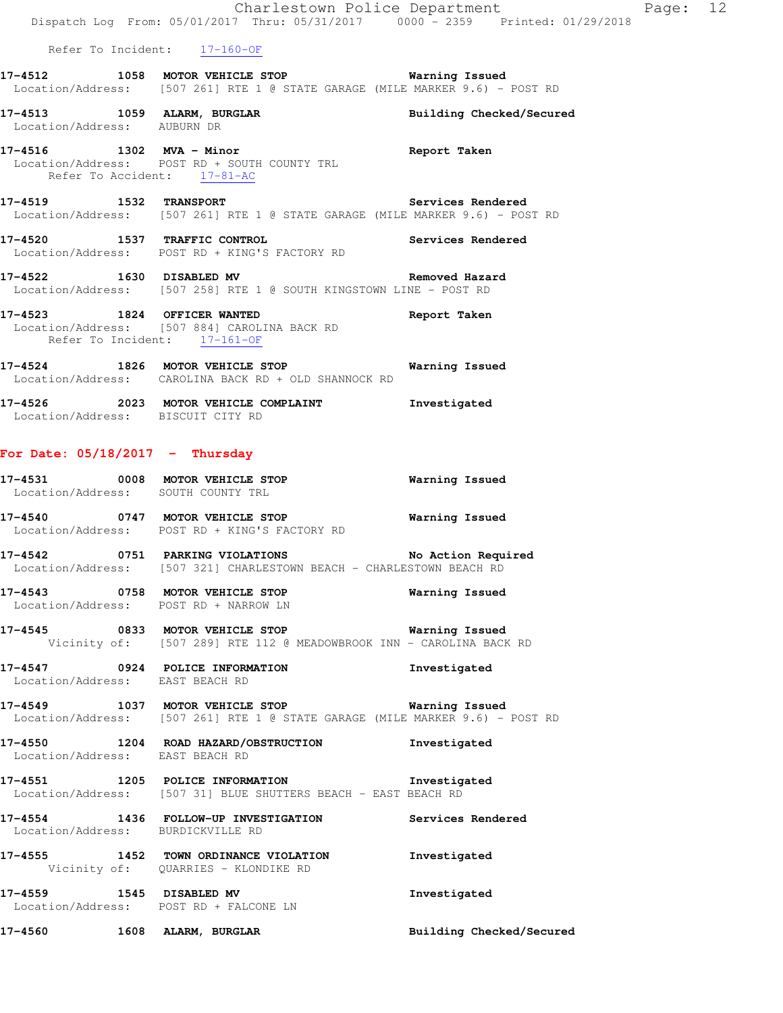|                                                                    | Dispatch Log From: 05/01/2017 Thru: 05/31/2017 0000 - 2359 Printed: 01/29/2018                                                        | Charlestown Police Department Page: 12 |  |
|--------------------------------------------------------------------|---------------------------------------------------------------------------------------------------------------------------------------|----------------------------------------|--|
|                                                                    | Refer To Incident: 17-160-OF                                                                                                          |                                        |  |
|                                                                    | 17-4512 1058 MOTOR VEHICLE STOP <b>Warning Issued</b><br>Location/Address: [507 261] RTE 1 @ STATE GARAGE (MILE MARKER 9.6) - POST RD |                                        |  |
| Location/Address: AUBURN DR                                        | 17-4513 1059 ALARM, BURGLAR                                                                                                           | Building Checked/Secured               |  |
|                                                                    | 17-4516 1302 MVA - Minor<br>Location/Address: POST RD + SOUTH COUNTY TRL<br>Refer To Accident: 17-81-AC                               | Report Taken                           |  |
|                                                                    | 17-4519 1532 TRANSPORT Services Rendered<br>Location/Address: [507 261] RTE 1 @ STATE GARAGE (MILE MARKER 9.6) - POST RD              |                                        |  |
| 17-4520 1537 TRAFFIC CONTROL                                       | Location/Address: POST RD + KING'S FACTORY RD                                                                                         | Services Rendered                      |  |
|                                                                    | 17-4522 1630 DISABLED MV <b>Removed Hazard</b><br>Location/Address: [507 258] RTE 1 @ SOUTH KINGSTOWN LINE - POST RD                  |                                        |  |
| 17-4523 1824 OFFICER WANTED<br>Refer To Incident: 17-161-OF        | Location/Address: [507 884] CAROLINA BACK RD                                                                                          | Report Taken                           |  |
|                                                                    | 17-4524 1826 MOTOR VEHICLE STOP 6 Warning Issued<br>Location/Address: CAROLINA BACK RD + OLD SHANNOCK RD                              |                                        |  |
| Location/Address: BISCUIT CITY RD                                  | 17-4526 2023 MOTOR VEHICLE COMPLAINT 1nvestigated                                                                                     |                                        |  |
| For Date: $05/18/2017$ - Thursday                                  |                                                                                                                                       |                                        |  |
| Location/Address: SOUTH COUNTY TRL                                 | 17-4531 0008 MOTOR VEHICLE STOP                                                                                                       | <b>Warning Issued</b>                  |  |
|                                                                    | 17-4540 0747 MOTOR VEHICLE STOP 6 Warning Issued<br>Location/Address: POST RD + KING'S FACTORY RD                                     |                                        |  |
|                                                                    | 17-4542 0751 PARKING VIOLATIONS<br>Location/Address: [507 321] CHARLESTOWN BEACH - CHARLESTOWN BEACH RD                               | No Action Required                     |  |
|                                                                    | 17-4543 0758 MOTOR VEHICLE STOP<br>Location/Address: POST RD + NARROW LN                                                              | Warning Issued                         |  |
|                                                                    | 17-4545 0833 MOTOR VEHICLE STOP 6 Warning Issued<br>Vicinity of: [507 289] RTE 112 @ MEADOWBROOK INN - CAROLINA BACK RD               |                                        |  |
| 17-4547 0924 POLICE INFORMATION<br>Location/Address: EAST BEACH RD |                                                                                                                                       | Investigated                           |  |
|                                                                    | 17-4549 1037 MOTOR VEHICLE STOP 6 Warning Issued<br>Location/Address: [507 261] RTE 1 @ STATE GARAGE (MILE MARKER 9.6) - POST RD      |                                        |  |
| Location/Address: EAST BEACH RD                                    | 17-4550 1204 ROAD HAZARD/OBSTRUCTION                                                                                                  | Investigated                           |  |
|                                                                    |                                                                                                                                       |                                        |  |

**17-4551 1205 POLICE INFORMATION Investigated**  Location/Address: [507 31] BLUE SHUTTERS BEACH - EAST BEACH RD

**17-4554 1436 FOLLOW-UP INVESTIGATION Services Rendered**  Location/Address: BURDICKVILLE RD **17-4555 1452 TOWN ORDINANCE VIOLATION Investigated** 

Vicinity of: QUARRIES - KLONDIKE RD

**17-4559 1545 DISABLED MV Investigated**  Location/Address: POST RD + FALCONE LN

**17-4560 1608 ALARM, BURGLAR Building Checked/Secured**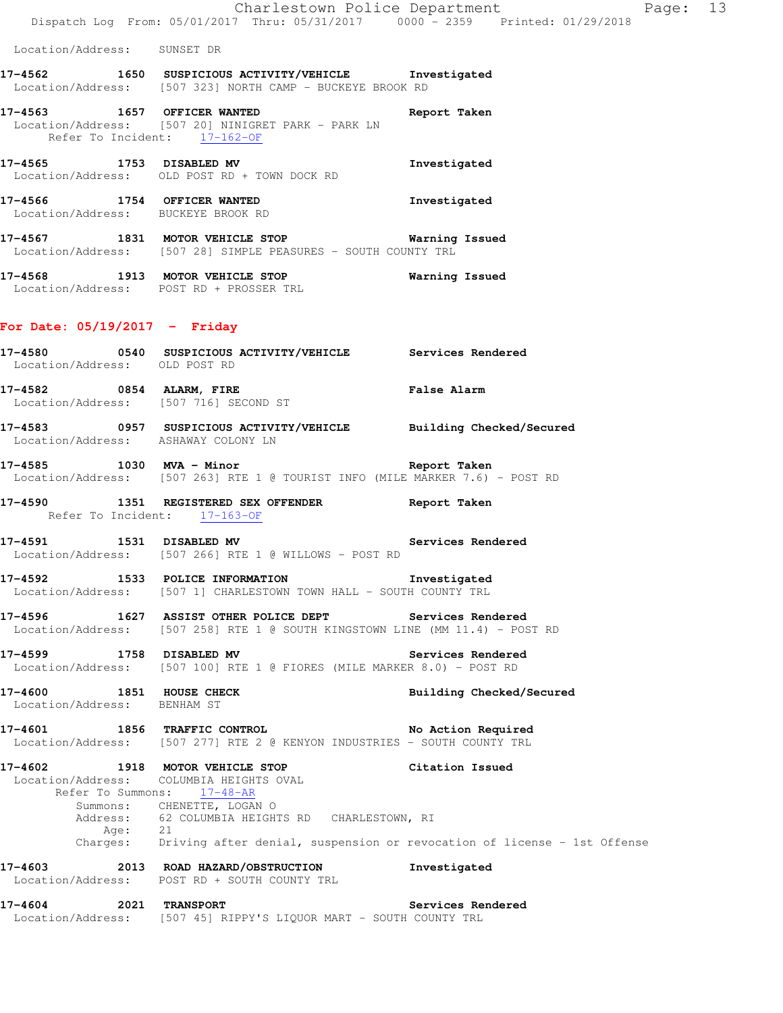Location/Address: SUNSET DR

**17-4562 1650 SUSPICIOUS ACTIVITY/VEHICLE Investigated**  Location/Address: [507 323] NORTH CAMP - BUCKEYE BROOK RD

- **17-4563 1657 OFFICER WANTED Report Taken**  Location/Address: [507 20] NINIGRET PARK - PARK LN Refer To Incident: 17-162-OF
- **17-4565 1753 DISABLED MV Investigated**  Location/Address: OLD POST RD + TOWN DOCK RD
- **17-4566 1754 OFFICER WANTED Investigated**  Location/Address: BUCKEYE BROOK RD
- **17-4567 1831 MOTOR VEHICLE STOP Warning Issued**  Location/Address: [507 28] SIMPLE PEASURES - SOUTH COUNTY TRL
- **17-4568 1913 MOTOR VEHICLE STOP Warning Issued**  Location/Address: POST RD + PROSSER TRL

# **For Date: 05/19/2017 - Friday**

- **17-4580 0540 SUSPICIOUS ACTIVITY/VEHICLE Services Rendered**  Location/Address: OLD POST RD **17-4582 0854 ALARM, FIRE False Alarm**  Location/Address: [507 716] SECOND ST **17-4583 0957 SUSPICIOUS ACTIVITY/VEHICLE Building Checked/Secured**  Location/Address: ASHAWAY COLONY LN **17-4585 1030 MVA - Minor Report Taken**  Location/Address: [507 263] RTE 1 @ TOURIST INFO (MILE MARKER 7.6) - POST RD **17-4590 1351 REGISTERED SEX OFFENDER Report Taken**  Refer To Incident: 17-163-OF **17-4591 1531 DISABLED MV Services Rendered**  Location/Address: [507 266] RTE 1 @ WILLOWS - POST RD **17-4592 1533 POLICE INFORMATION Investigated**
- Location/Address: [507 1] CHARLESTOWN TOWN HALL SOUTH COUNTY TRL
- **17-4596 1627 ASSIST OTHER POLICE DEPT Services Rendered**  Location/Address: [507 258] RTE 1 @ SOUTH KINGSTOWN LINE (MM 11.4) - POST RD
- **17-4599 1758 DISABLED MV Services Rendered**  Location/Address: [507 100] RTE 1 @ FIORES (MILE MARKER 8.0) - POST RD
- **17-4600 1851 HOUSE CHECK Building Checked/Secured**  Location/Address: BENHAM ST
- **17-4601 1856 TRAFFIC CONTROL No Action Required**  Location/Address: [507 277] RTE 2 @ KENYON INDUSTRIES - SOUTH COUNTY TRL
- **17-4602 1918 MOTOR VEHICLE STOP Citation Issued**  Location/Address: COLUMBIA HEIGHTS OVAL Refer To Summons: 17-48-AR Summons: CHENETTE, LOGAN O Address: 62 COLUMBIA HEIGHTS RD CHARLESTOWN, RI<br>Age: 21 Age: 21 Charges: Driving after denial, suspension or revocation of license - 1st Offense **17-4603 2013 ROAD HAZARD/OBSTRUCTION Investigated**  Location/Address: POST RD + SOUTH COUNTY TRL
- **17-4604 2021 TRANSPORT Services Rendered**  Location/Address: [507 45] RIPPY'S LIQUOR MART - SOUTH COUNTY TRL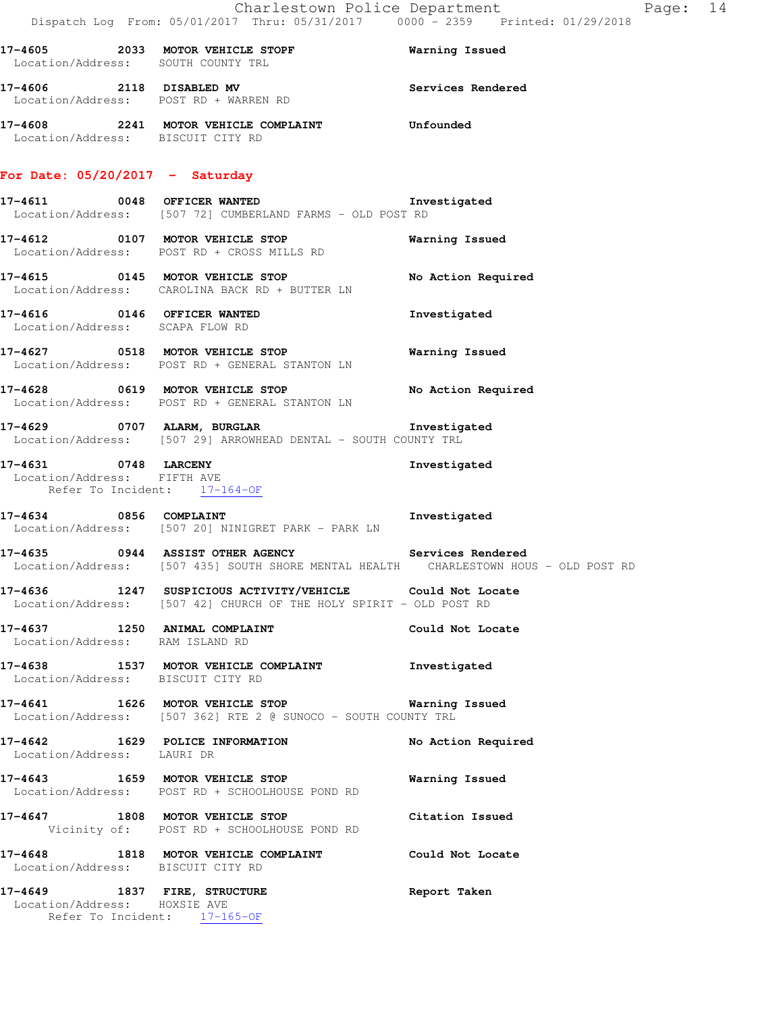| 17-4605 2033 MOTOR VEHICLE STOPF Warning Issued<br>Location/Address: SOUTH COUNTY TRL<br>17-4606 2118 DISABLED MV Services Rendered<br>Location/Address: POST RD + WARREN RD<br>17-4608 2241 MOTOR VEHICLE COMPLAINT Unfounded<br>Location/Address: BISCUIT CITY RD<br>For Date: $05/20/2017$ - Saturday<br>17-4611 0048 OFFICER WANTED<br>Investigated<br>Location/Address: [507 72] CUMBERLAND FARMS - OLD POST RD<br>17-4612 0107 MOTOR VEHICLE STOP<br><b>Warning Issued</b><br>Location/Address: POST RD + CROSS MILLS RD<br>17-4615 		 0145 MOTOR VEHICLE STOP 		 No Action Required<br>Location/Address: CAROLINA BACK RD + BUTTER LN<br>17-4616 0146 OFFICER WANTED<br>Investigated<br>Location/Address: SCAPA FLOW RD<br>17-4627 0518 MOTOR VEHICLE STOP<br>Warning Issued<br>Location/Address: POST RD + GENERAL STANTON LN<br>17-4628 0619 MOTOR VEHICLE STOP No Action Required<br>Location/Address: POST RD + GENERAL STANTON LN<br>17-4629 0707 ALARM, BURGLAR<br>Investigated<br>Location/Address: [507 29] ARROWHEAD DENTAL - SOUTH COUNTY TRL<br>17-4631 0748 LARCENY<br>Location/Address: FIFTH AVE<br>Investigated<br>Refer To Incident: 17-164-OF<br>17-4634 0856 COMPLAINT 2000 100 Investigated<br>Location/Address: [507 20] NINIGRET PARK - PARK LN<br>17-4635 0944 ASSIST OTHER AGENCY Services Rendered<br>Location/Address: [507 435] SOUTH SHORE MENTAL HEALTH CHARLESTOWN HOUS - OLD POST RD<br>Location/Address: [507 42] CHURCH OF THE HOLY SPIRIT - OLD POST RD<br>17-4637 1250 ANIMAL COMPLAINT<br>Could Not Locate<br>Location/Address: RAM ISLAND RD<br>17-4638 1537 MOTOR VEHICLE COMPLAINT Threstigated<br>Location/Address: BISCUIT CITY RD<br>17-4641 1626 MOTOR VEHICLE STOP Warning Issued<br>Location/Address: [507 362] RTE 2 @ SUNOCO - SOUTH COUNTY TRL<br>17-4642 1629 POLICE INFORMATION<br>No Action Required<br>Location/Address: LAURI DR<br>17-4643 1659 MOTOR VEHICLE STOP<br>Warning Issued<br>Location/Address: POST RD + SCHOOLHOUSE POND RD<br>17-4647 1808 MOTOR VEHICLE STOP<br>Citation Issued<br>Vicinity of: POST RD + SCHOOLHOUSE POND RD<br>17-4648 1818 MOTOR VEHICLE COMPLAINT Could Not Locate<br>Location/Address: BISCUIT CITY RD<br>17-4649 1837 FIRE, STRUCTURE<br>Report Taken<br>Location/Address: HOXSIE AVE<br>Refer To Incident: 17-165-OF | Dispatch Log From: 05/01/2017 Thru: 05/31/2017     0000 – 2359   Printed: 01/29/2018 |  |
|-----------------------------------------------------------------------------------------------------------------------------------------------------------------------------------------------------------------------------------------------------------------------------------------------------------------------------------------------------------------------------------------------------------------------------------------------------------------------------------------------------------------------------------------------------------------------------------------------------------------------------------------------------------------------------------------------------------------------------------------------------------------------------------------------------------------------------------------------------------------------------------------------------------------------------------------------------------------------------------------------------------------------------------------------------------------------------------------------------------------------------------------------------------------------------------------------------------------------------------------------------------------------------------------------------------------------------------------------------------------------------------------------------------------------------------------------------------------------------------------------------------------------------------------------------------------------------------------------------------------------------------------------------------------------------------------------------------------------------------------------------------------------------------------------------------------------------------------------------------------------------------------------------------------------------------------------------------------------------------------------------------------------------------------------------------------------------------------------------------------------------------------------------------------------------------------------------------------------------------------------------------------------------------------------------------------------|--------------------------------------------------------------------------------------|--|
|                                                                                                                                                                                                                                                                                                                                                                                                                                                                                                                                                                                                                                                                                                                                                                                                                                                                                                                                                                                                                                                                                                                                                                                                                                                                                                                                                                                                                                                                                                                                                                                                                                                                                                                                                                                                                                                                                                                                                                                                                                                                                                                                                                                                                                                                                                                       |                                                                                      |  |
|                                                                                                                                                                                                                                                                                                                                                                                                                                                                                                                                                                                                                                                                                                                                                                                                                                                                                                                                                                                                                                                                                                                                                                                                                                                                                                                                                                                                                                                                                                                                                                                                                                                                                                                                                                                                                                                                                                                                                                                                                                                                                                                                                                                                                                                                                                                       |                                                                                      |  |
|                                                                                                                                                                                                                                                                                                                                                                                                                                                                                                                                                                                                                                                                                                                                                                                                                                                                                                                                                                                                                                                                                                                                                                                                                                                                                                                                                                                                                                                                                                                                                                                                                                                                                                                                                                                                                                                                                                                                                                                                                                                                                                                                                                                                                                                                                                                       |                                                                                      |  |
|                                                                                                                                                                                                                                                                                                                                                                                                                                                                                                                                                                                                                                                                                                                                                                                                                                                                                                                                                                                                                                                                                                                                                                                                                                                                                                                                                                                                                                                                                                                                                                                                                                                                                                                                                                                                                                                                                                                                                                                                                                                                                                                                                                                                                                                                                                                       |                                                                                      |  |
|                                                                                                                                                                                                                                                                                                                                                                                                                                                                                                                                                                                                                                                                                                                                                                                                                                                                                                                                                                                                                                                                                                                                                                                                                                                                                                                                                                                                                                                                                                                                                                                                                                                                                                                                                                                                                                                                                                                                                                                                                                                                                                                                                                                                                                                                                                                       |                                                                                      |  |
|                                                                                                                                                                                                                                                                                                                                                                                                                                                                                                                                                                                                                                                                                                                                                                                                                                                                                                                                                                                                                                                                                                                                                                                                                                                                                                                                                                                                                                                                                                                                                                                                                                                                                                                                                                                                                                                                                                                                                                                                                                                                                                                                                                                                                                                                                                                       |                                                                                      |  |
|                                                                                                                                                                                                                                                                                                                                                                                                                                                                                                                                                                                                                                                                                                                                                                                                                                                                                                                                                                                                                                                                                                                                                                                                                                                                                                                                                                                                                                                                                                                                                                                                                                                                                                                                                                                                                                                                                                                                                                                                                                                                                                                                                                                                                                                                                                                       |                                                                                      |  |
|                                                                                                                                                                                                                                                                                                                                                                                                                                                                                                                                                                                                                                                                                                                                                                                                                                                                                                                                                                                                                                                                                                                                                                                                                                                                                                                                                                                                                                                                                                                                                                                                                                                                                                                                                                                                                                                                                                                                                                                                                                                                                                                                                                                                                                                                                                                       |                                                                                      |  |
|                                                                                                                                                                                                                                                                                                                                                                                                                                                                                                                                                                                                                                                                                                                                                                                                                                                                                                                                                                                                                                                                                                                                                                                                                                                                                                                                                                                                                                                                                                                                                                                                                                                                                                                                                                                                                                                                                                                                                                                                                                                                                                                                                                                                                                                                                                                       |                                                                                      |  |
|                                                                                                                                                                                                                                                                                                                                                                                                                                                                                                                                                                                                                                                                                                                                                                                                                                                                                                                                                                                                                                                                                                                                                                                                                                                                                                                                                                                                                                                                                                                                                                                                                                                                                                                                                                                                                                                                                                                                                                                                                                                                                                                                                                                                                                                                                                                       |                                                                                      |  |
|                                                                                                                                                                                                                                                                                                                                                                                                                                                                                                                                                                                                                                                                                                                                                                                                                                                                                                                                                                                                                                                                                                                                                                                                                                                                                                                                                                                                                                                                                                                                                                                                                                                                                                                                                                                                                                                                                                                                                                                                                                                                                                                                                                                                                                                                                                                       |                                                                                      |  |
|                                                                                                                                                                                                                                                                                                                                                                                                                                                                                                                                                                                                                                                                                                                                                                                                                                                                                                                                                                                                                                                                                                                                                                                                                                                                                                                                                                                                                                                                                                                                                                                                                                                                                                                                                                                                                                                                                                                                                                                                                                                                                                                                                                                                                                                                                                                       |                                                                                      |  |
|                                                                                                                                                                                                                                                                                                                                                                                                                                                                                                                                                                                                                                                                                                                                                                                                                                                                                                                                                                                                                                                                                                                                                                                                                                                                                                                                                                                                                                                                                                                                                                                                                                                                                                                                                                                                                                                                                                                                                                                                                                                                                                                                                                                                                                                                                                                       |                                                                                      |  |
|                                                                                                                                                                                                                                                                                                                                                                                                                                                                                                                                                                                                                                                                                                                                                                                                                                                                                                                                                                                                                                                                                                                                                                                                                                                                                                                                                                                                                                                                                                                                                                                                                                                                                                                                                                                                                                                                                                                                                                                                                                                                                                                                                                                                                                                                                                                       |                                                                                      |  |
|                                                                                                                                                                                                                                                                                                                                                                                                                                                                                                                                                                                                                                                                                                                                                                                                                                                                                                                                                                                                                                                                                                                                                                                                                                                                                                                                                                                                                                                                                                                                                                                                                                                                                                                                                                                                                                                                                                                                                                                                                                                                                                                                                                                                                                                                                                                       |                                                                                      |  |
|                                                                                                                                                                                                                                                                                                                                                                                                                                                                                                                                                                                                                                                                                                                                                                                                                                                                                                                                                                                                                                                                                                                                                                                                                                                                                                                                                                                                                                                                                                                                                                                                                                                                                                                                                                                                                                                                                                                                                                                                                                                                                                                                                                                                                                                                                                                       |                                                                                      |  |
|                                                                                                                                                                                                                                                                                                                                                                                                                                                                                                                                                                                                                                                                                                                                                                                                                                                                                                                                                                                                                                                                                                                                                                                                                                                                                                                                                                                                                                                                                                                                                                                                                                                                                                                                                                                                                                                                                                                                                                                                                                                                                                                                                                                                                                                                                                                       |                                                                                      |  |
|                                                                                                                                                                                                                                                                                                                                                                                                                                                                                                                                                                                                                                                                                                                                                                                                                                                                                                                                                                                                                                                                                                                                                                                                                                                                                                                                                                                                                                                                                                                                                                                                                                                                                                                                                                                                                                                                                                                                                                                                                                                                                                                                                                                                                                                                                                                       |                                                                                      |  |
|                                                                                                                                                                                                                                                                                                                                                                                                                                                                                                                                                                                                                                                                                                                                                                                                                                                                                                                                                                                                                                                                                                                                                                                                                                                                                                                                                                                                                                                                                                                                                                                                                                                                                                                                                                                                                                                                                                                                                                                                                                                                                                                                                                                                                                                                                                                       |                                                                                      |  |
|                                                                                                                                                                                                                                                                                                                                                                                                                                                                                                                                                                                                                                                                                                                                                                                                                                                                                                                                                                                                                                                                                                                                                                                                                                                                                                                                                                                                                                                                                                                                                                                                                                                                                                                                                                                                                                                                                                                                                                                                                                                                                                                                                                                                                                                                                                                       |                                                                                      |  |
|                                                                                                                                                                                                                                                                                                                                                                                                                                                                                                                                                                                                                                                                                                                                                                                                                                                                                                                                                                                                                                                                                                                                                                                                                                                                                                                                                                                                                                                                                                                                                                                                                                                                                                                                                                                                                                                                                                                                                                                                                                                                                                                                                                                                                                                                                                                       |                                                                                      |  |
|                                                                                                                                                                                                                                                                                                                                                                                                                                                                                                                                                                                                                                                                                                                                                                                                                                                                                                                                                                                                                                                                                                                                                                                                                                                                                                                                                                                                                                                                                                                                                                                                                                                                                                                                                                                                                                                                                                                                                                                                                                                                                                                                                                                                                                                                                                                       |                                                                                      |  |
|                                                                                                                                                                                                                                                                                                                                                                                                                                                                                                                                                                                                                                                                                                                                                                                                                                                                                                                                                                                                                                                                                                                                                                                                                                                                                                                                                                                                                                                                                                                                                                                                                                                                                                                                                                                                                                                                                                                                                                                                                                                                                                                                                                                                                                                                                                                       |                                                                                      |  |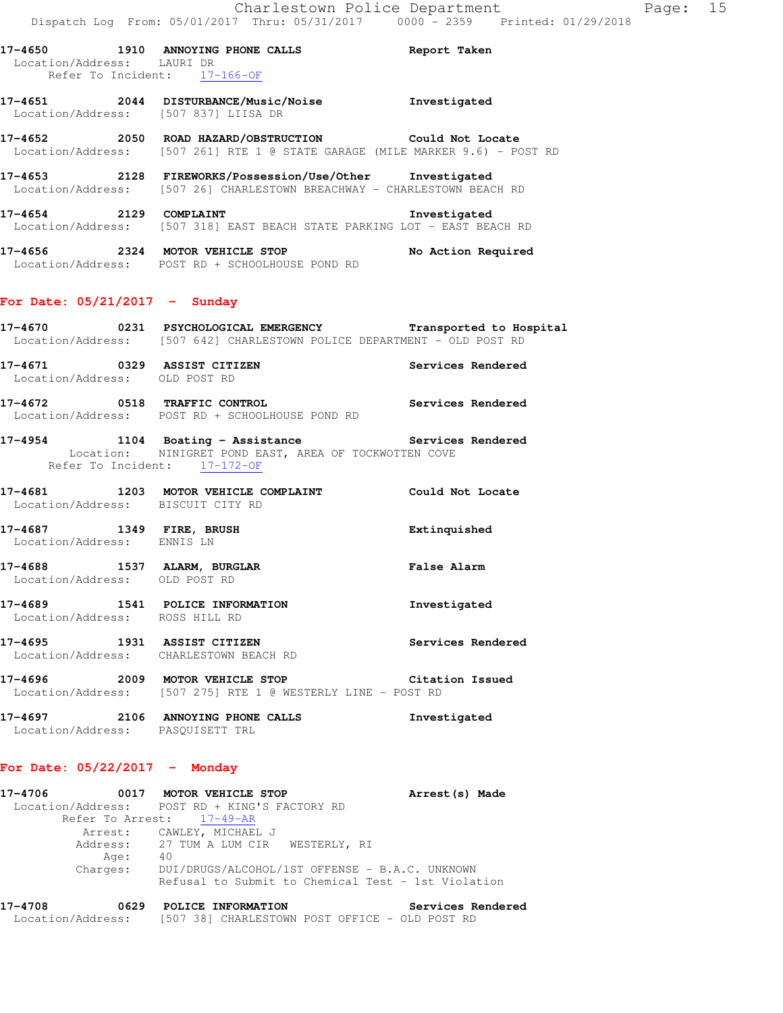| 17–4650<br>Location/Address: LAURI DR |      | 1910 ANNOYING PHONE CALLS<br>Refer To Incident: 17-166-OF                                                                   | Report Taken                                                                 |
|---------------------------------------|------|-----------------------------------------------------------------------------------------------------------------------------|------------------------------------------------------------------------------|
| 17–4651                               |      | 2044 DISTURBANCE/Music/Noise<br>Location/Address: [507 837] LIISA DR                                                        | Investigated                                                                 |
| 17–4652                               | 2050 | ROAD HAZARD/OBSTRUCTION Could Not Locate                                                                                    | Location/Address: [507 261] RTE 1 @ STATE GARAGE (MILE MARKER 9.6) - POST RD |
| 17–4653                               |      | 2128 FIREWORKS/Possession/Use/Other Investigated<br>Location/Address: [507 26] CHARLESTOWN BREACHWAY - CHARLESTOWN BEACH RD |                                                                              |
| 17–4654 2129                          |      | COMPLAINT<br>Location/Address: [507 318] EAST BEACH STATE PARKING LOT - EAST BEACH RD                                       | Investigated                                                                 |
| 17-4656<br>2324                       |      | MOTOR VEHICLE STOP<br>Location/Address: POST RD + SCHOOLHOUSE POND RD                                                       | No Action Required                                                           |

# **For Date: 05/21/2017 - Sunday**

|                                   | 17-4670 0231 PSYCHOLOGICAL EMERGENCY Transported to Hospital<br>Location/Address: [507 642] CHARLESTOWN POLICE DEPARTMENT - OLD POST RD      |                    |
|-----------------------------------|----------------------------------------------------------------------------------------------------------------------------------------------|--------------------|
| Location/Address: OLD POST RD     | 17-4671 0329 ASSIST CITIZEN                                                                                                                  | Services Rendered  |
|                                   | 17-4672 0518 TRAFFIC CONTROL Services Rendered<br>Location/Address: POST RD + SCHOOLHOUSE POND RD                                            |                    |
|                                   | 17-4954 1104 Boating - Assistance Services Rendered<br>Location: NINIGRET POND EAST, AREA OF TOCKWOTTEN COVE<br>Refer To Incident: 17-172-OF |                    |
| Location/Address: BISCUIT CITY RD | 17-4681 1203 MOTOR VEHICLE COMPLAINT Could Not Locate                                                                                        |                    |
| Location/Address: ENNIS LN        | 17-4687 1349 FIRE, BRUSH 1997 2008 2009 1349                                                                                                 |                    |
| Location/Address: OLD POST RD     | 17-4688 1537 ALARM, BURGLAR                                                                                                                  | <b>False Alarm</b> |
| Location/Address: ROSS HILL RD    | 17-4689 1541 POLICE INFORMATION                                                                                                              | Investigated       |
|                                   | 17-4695 1931 ASSIST CITIZEN<br>Location/Address: CHARLESTOWN BEACH RD                                                                        | Services Rendered  |
|                                   | 17-4696 2009 MOTOR VEHICLE STOP Citation Issued<br>Location/Address: [507 275] RTE 1 @ WESTERLY LINE - POST RD                               |                    |
| $17 - 4697$                       | 2106 ANNOYING PHONE CALLS                                                                                                                    | Investigated       |

Location/Address: PASQUISETT TRL

# **For Date: 05/22/2017 - Monday**

| 17–4706                                       |                           | 0017 MOTOR VEHICLE STOP |                    |                                                    | Arrest (s) Made   |  |
|-----------------------------------------------|---------------------------|-------------------------|--------------------|----------------------------------------------------|-------------------|--|
| Location/Address: POST RD + KING'S FACTORY RD |                           |                         |                    |                                                    |                   |  |
|                                               | Refer To Arrest: 17-49-AR |                         |                    |                                                    |                   |  |
|                                               | Arrest: CAWLEY, MICHAEL J |                         |                    |                                                    |                   |  |
|                                               |                           |                         |                    | Address: 27 TUM A LUM CIR WESTERLY, RI             |                   |  |
|                                               | Age:                      | 40                      |                    |                                                    |                   |  |
|                                               | Charges:                  |                         |                    | DUI/DRUGS/ALCOHOL/1ST OFFENSE - B.A.C. UNKNOWN     |                   |  |
|                                               |                           |                         |                    | Refusal to Submit to Chemical Test - 1st Violation |                   |  |
|                                               |                           |                         |                    |                                                    |                   |  |
| 17-4708                                       | 0629                      |                         | POLICE INFORMATION |                                                    | Services Rendered |  |

Location/Address: [507 38] CHARLESTOWN POST OFFICE - OLD POST RD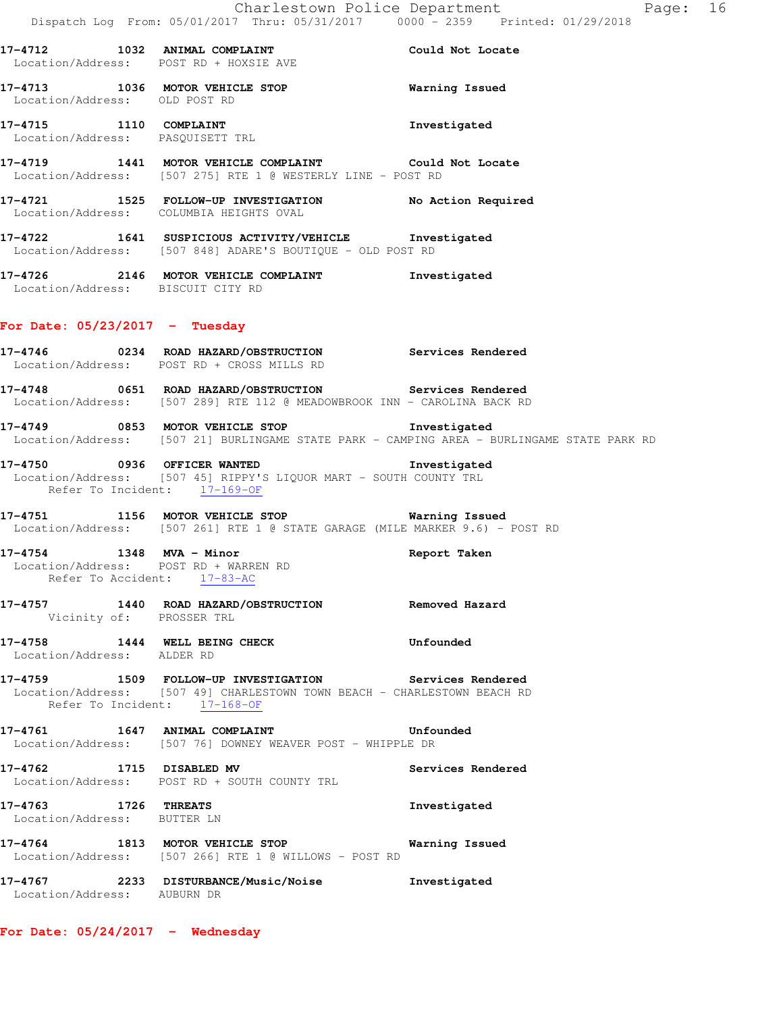**17-4712 1032 ANIMAL COMPLAINT Could Not Locate**  Location/Address: POST RD + HOXSIE AVE **17-4713 1036 MOTOR VEHICLE STOP Warning Issued**  Location/Address: OLD POST RD **17-4715 1110 COMPLAINT Investigated**  Location/Address: PASQUISETT TRL **17-4719 1441 MOTOR VEHICLE COMPLAINT Could Not Locate**  Location/Address: [507 275] RTE 1 @ WESTERLY LINE - POST RD **17-4721 1525 FOLLOW-UP INVESTIGATION No Action Required**  Location/Address: COLUMBIA HEIGHTS OVAL **17-4722 1641 SUSPICIOUS ACTIVITY/VEHICLE Investigated**  Location/Address: [507 848] ADARE'S BOUTIQUE - OLD POST RD **17-4726 2146 MOTOR VEHICLE COMPLAINT Investigated**  Location/Address: BISCUIT CITY RD **For Date: 05/23/2017 - Tuesday 17-4746 0234 ROAD HAZARD/OBSTRUCTION Services Rendered**  Location/Address: POST RD + CROSS MILLS RD **17-4748 0651 ROAD HAZARD/OBSTRUCTION Services Rendered**  Location/Address: [507 289] RTE 112 @ MEADOWBROOK INN - CAROLINA BACK RD **17-4749 0853 MOTOR VEHICLE STOP Investigated**  Location/Address: [507 21] BURLINGAME STATE PARK - CAMPING AREA - BURLINGAME STATE PARK RD **17-4750 0936 OFFICER WANTED Investigated**  Location/Address: [507 45] RIPPY'S LIQUOR MART - SOUTH COUNTY TRL Refer To Incident: 17-169-OF **17-4751 1156 MOTOR VEHICLE STOP Warning Issued**  Location/Address: [507 261] RTE 1 @ STATE GARAGE (MILE MARKER 9.6) - POST RD **17-4754 1348 MVA - Minor Report Taken**  Location/Address: POST RD + WARREN RD Refer To Accident: 17-83-AC **17-4757 1440 ROAD HAZARD/OBSTRUCTION Removed Hazard**  Vicinity of: PROSSER TRL **17-4758 1444 WELL BEING CHECK Unfounded**  Location/Address: ALDER RD **17-4759 1509 FOLLOW-UP INVESTIGATION Services Rendered**  Location/Address: [507 49] CHARLESTOWN TOWN BEACH - CHARLESTOWN BEACH RD Refer To Incident: 17-168-OF **17-4761 1647 ANIMAL COMPLAINT Unfounded**  Location/Address: [507 76] DOWNEY WEAVER POST - WHIPPLE DR **17-4762 1715 DISABLED MV Services Rendered**  Location/Address: POST RD + SOUTH COUNTY TRL **17-4763 1726 THREATS Investigated**  Location/Address: BUTTER LN **17-4764 1813 MOTOR VEHICLE STOP Warning Issued**  Location/Address: [507 266] RTE 1 @ WILLOWS - POST RD

Location/Address: AUBURN DR

**17-4767 2233 DISTURBANCE/Music/Noise Investigated** 

**For Date: 05/24/2017 - Wednesday**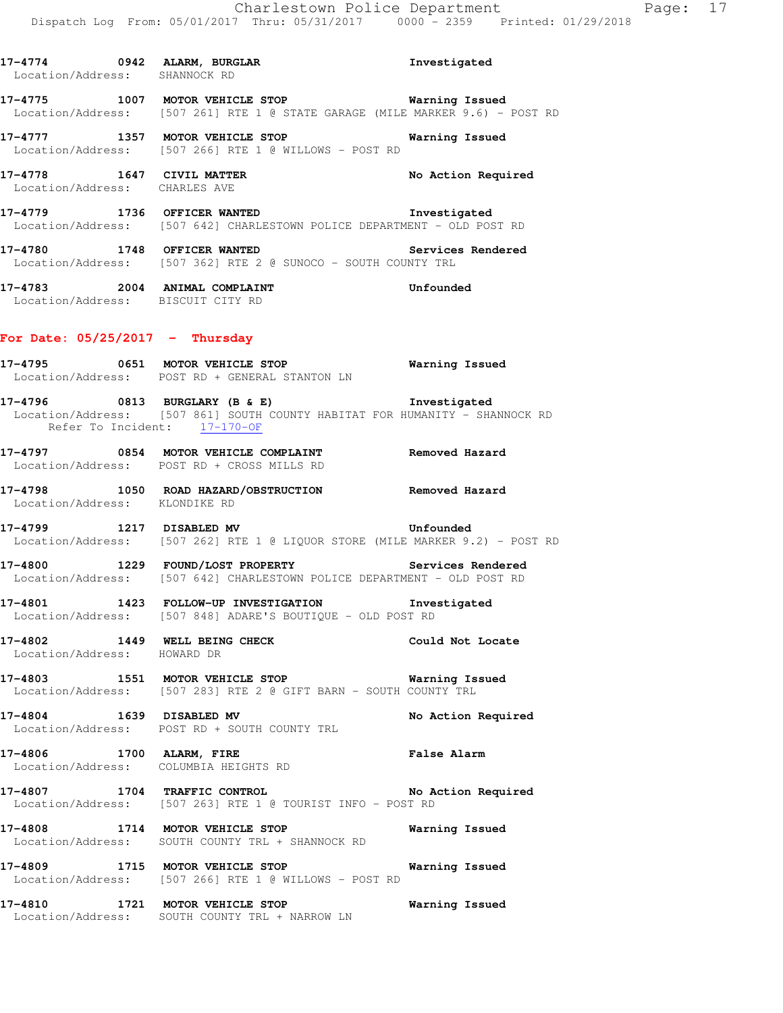|                                   | 17-4774 0942 ALARM, BURGLAR 17-4774<br>Location/Address: SHANNOCK RD                                                                                                          |                       |
|-----------------------------------|-------------------------------------------------------------------------------------------------------------------------------------------------------------------------------|-----------------------|
|                                   | 17-4775 1007 MOTOR VEHICLE STOP Warning Issued<br>Location/Address: [507 261] RTE 1 @ STATE GARAGE (MILE MARKER 9.6) - POST RD                                                |                       |
|                                   | 17-4777 1357 MOTOR VEHICLE STOP <b>Warning Issued</b><br>Location/Address: [507 266] RTE 1 @ WILLOWS - POST RD                                                                |                       |
|                                   | 17-4778 1647 CIVIL MATTER<br>Location/Address: CHARLES AVE                                                                                                                    | No Action Required    |
|                                   | 17-4779 1736 OFFICER WANTED <b>Investigated</b><br>Location/Address: [507 642] CHARLESTOWN POLICE DEPARTMENT - OLD POST RD                                                    |                       |
|                                   | 17-4780 1748 OFFICER WANTED<br>Location/Address: [507 362] RTE 2 @ SUNOCO - SOUTH COUNTY TRL                                                                                  | Services Rendered     |
|                                   | 17-4783 2004 ANIMAL COMPLAINT COMPRESSES Unfounded<br>Location/Address: BISCUIT CITY RD                                                                                       |                       |
| For Date: $05/25/2017$ - Thursday |                                                                                                                                                                               |                       |
|                                   | 17-4795 0651 MOTOR VEHICLE STOP <b>Exam Example 18</b> Warning Issued<br>Location/Address: POST RD + GENERAL STANTON LN                                                       |                       |
|                                   | 17-4796 0813 BURGLARY (B & E) Investigated<br>Location/Address: [507 861] SOUTH COUNTY HABITAT FOR HUMANITY - SHANNOCK RD<br>Refer To Incident: $\frac{17-170-OF}{27-170-OF}$ |                       |
|                                   | 17-4797 0854 MOTOR VEHICLE COMPLAINT Removed Hazard<br>Location/Address: POST RD + CROSS MILLS RD                                                                             |                       |
| Location/Address: KLONDIKE RD     | 17-4798 1050 ROAD HAZARD/OBSTRUCTION Removed Hazard                                                                                                                           |                       |
|                                   | 17-4799 1217 DISABLED MV <b>Unfounded</b><br>Location/Address: [507 262] RTE 1 @ LIQUOR STORE (MILE MARKER 9.2) - POST RD                                                     |                       |
|                                   | 17-4800 1229 FOUND/LOST PROPERTY Services Rendered<br>Location/Address: [507 642] CHARLESTOWN POLICE DEPARTMENT - OLD POST RD                                                 |                       |
|                                   | 17-4801 1423 FOLLOW-UP INVESTIGATION 1nvestigated<br>Location/Address: [507 848] ADARE'S BOUTIQUE - OLD POST RD                                                               |                       |
| Location/Address: HOWARD DR       | 17-4802 1449 WELL BEING CHECK                                                                                                                                                 | Could Not Locate      |
|                                   | 17-4803 1551 MOTOR VEHICLE STOP Warning Issued<br>Location/Address: [507 283] RTE 2 @ GIFT BARN - SOUTH COUNTY TRL                                                            |                       |
| 17-4804 1639 DISABLED MV          | Location/Address: POST RD + SOUTH COUNTY TRL                                                                                                                                  | No Action Required    |
|                                   | 17-4806 1700 ALARM, FIRE<br>Location/Address: COLUMBIA HEIGHTS RD                                                                                                             | False Alarm           |
|                                   | 17-4807 1704 TRAFFIC CONTROL No Action Required<br>Location/Address: [507 263] RTE 1 @ TOURIST INFO - POST RD                                                                 |                       |
|                                   | 17-4808 1714 MOTOR VEHICLE STOP<br>Location/Address: SOUTH COUNTY TRL + SHANNOCK RD                                                                                           | Warning Issued        |
|                                   | 17-4809 1715 MOTOR VEHICLE STOP 6 Narning Issued<br>Location/Address: [507 266] RTE 1 @ WILLOWS - POST RD                                                                     |                       |
|                                   | 17-4810 1721 MOTOR VEHICLE STOP<br>Location/Address: SOUTH COUNTY TRL + NARROW LN                                                                                             | <b>Warning Issued</b> |
|                                   |                                                                                                                                                                               |                       |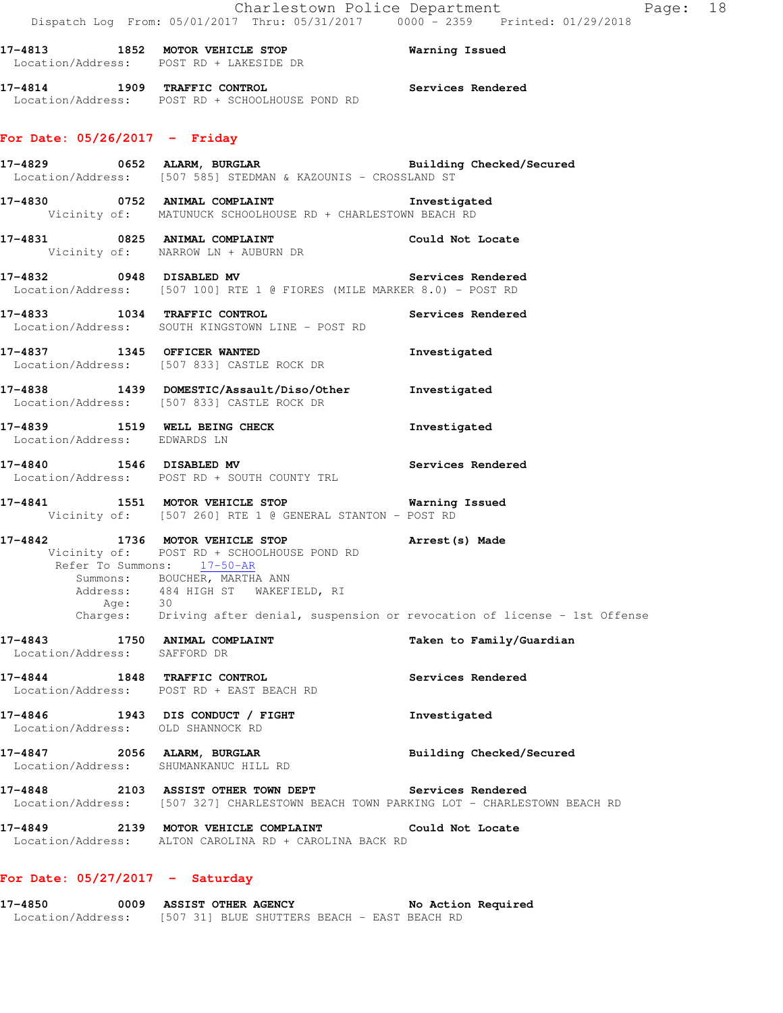**17-4813 1852 MOTOR VEHICLE STOP Warning Issued**  Location/Address: POST RD + LAKESIDE DR

**17-4814 1909 TRAFFIC CONTROL Services Rendered**  Location/Address: POST RD + SCHOOLHOUSE POND RD

## **For Date: 05/26/2017 - Friday**

**17-4829 0652 ALARM, BURGLAR Building Checked/Secured**  Location/Address: [507 585] STEDMAN & KAZOUNIS - CROSSLAND ST

**17-4830 0752 ANIMAL COMPLAINT Investigated**  Vicinity of: MATUNUCK SCHOOLHOUSE RD + CHARLESTOWN BEACH RD

**17-4831 0825 ANIMAL COMPLAINT Could Not Locate**  Vicinity of: NARROW LN + AUBURN DR

**17-4832 0948 DISABLED MV Services Rendered**  Location/Address: [507 100] RTE 1 @ FIORES (MILE MARKER 8.0) - POST RD

**17-4833 1034 TRAFFIC CONTROL Services Rendered**  Location/Address: SOUTH KINGSTOWN LINE - POST RD

**17-4837 1345 OFFICER WANTED Investigated**  Location/Address: [507 833] CASTLE ROCK DR

**17-4838 1439 DOMESTIC/Assault/Diso/Other Investigated**  Location/Address: [507 833] CASTLE ROCK DR

17-4839 1519 WELL BEING CHECK **Investigated** Location/Address: EDWARDS LN

**17-4840 1546 DISABLED MV Services Rendered**  Location/Address: POST RD + SOUTH COUNTY TRL

**17-4841 1551 MOTOR VEHICLE STOP Warning Issued**  Vicinity of: [507 260] RTE 1 @ GENERAL STANTON - POST RD

**17-4842 1736 MOTOR VEHICLE STOP Arrest(s) Made**  Vicinity of: POST RD + SCHOOLHOUSE POND RD Refer To Summons: 17-50-AR Summons: BOUCHER, MARTHA ANN Address: 484 HIGH ST WAKEFIELD, RI Age: 30 Charges: Driving after denial, suspension or revocation of license - 1st Offense

**17-4843 1750 ANIMAL COMPLAINT Taken to Family/Guardian**  Location/Address: SAFFORD DR

**17-4844 1848 TRAFFIC CONTROL Services Rendered**  Location/Address: POST RD + EAST BEACH RD

**17-4846 1943 DIS CONDUCT / FIGHT Investigated**  Location/Address: OLD SHANNOCK RD

**17-4847 2056 ALARM, BURGLAR Building Checked/Secured**  Location/Address: SHUMANKANUC HILL RD

**17-4848 2103 ASSIST OTHER TOWN DEPT Services Rendered**  Location/Address: [507 327] CHARLESTOWN BEACH TOWN PARKING LOT - CHARLESTOWN BEACH RD

**17-4849 2139 MOTOR VEHICLE COMPLAINT Could Not Locate**  Location/Address: ALTON CAROLINA RD + CAROLINA BACK RD

## **For Date: 05/27/2017 - Saturday**

**17-4850 0009 ASSIST OTHER AGENCY No Action Required**  Location/Address: [507 31] BLUE SHUTTERS BEACH - EAST BEACH RD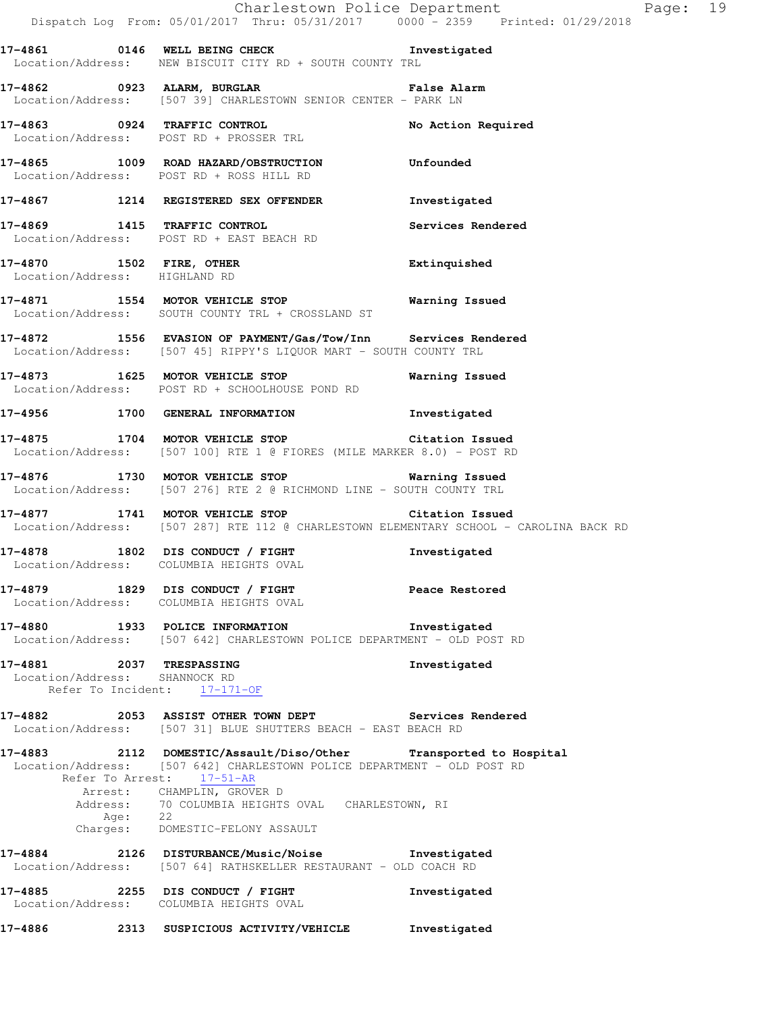|                                                           | Dispatch Log From: 05/01/2017 Thru: 05/31/2017 0000 <sup>-</sup> 2359 Printed: 01/29/2018                                                                                | Charlestown Police Department | Page: 19 |  |
|-----------------------------------------------------------|--------------------------------------------------------------------------------------------------------------------------------------------------------------------------|-------------------------------|----------|--|
|                                                           | 17-4861 0146 WELL BEING CHECK Threstigated<br>Location/Address: NEW BISCUIT CITY RD + SOUTH COUNTY TRL                                                                   |                               |          |  |
|                                                           | 17-4862 6923 ALARM, BURGLAR 17-4862 False Alarm<br>Location/Address: [507 39] CHARLESTOWN SENIOR CENTER - PARK LN                                                        |                               |          |  |
|                                                           | 17-4863 0924 TRAFFIC CONTROL<br>Location/Address: POST RD + PROSSER TRL                                                                                                  | No Action Required            |          |  |
|                                                           | 17-4865 1009 ROAD HAZARD/OBSTRUCTION Unfounded<br>Location/Address: POST RD + ROSS HILL RD                                                                               |                               |          |  |
|                                                           | 17-4867 1214 REGISTERED SEX OFFENDER                                                                                                                                     | Investigated                  |          |  |
|                                                           | 17-4869 1415 TRAFFIC CONTROL<br>Location/Address: POST RD + EAST BEACH RD                                                                                                | Services Rendered             |          |  |
|                                                           | 17-4870 1502 FIRE, OTHER<br>Location/Address: HIGHLAND RD                                                                                                                | Extinquished                  |          |  |
|                                                           | 17-4871 1554 MOTOR VEHICLE STOP 17-4871 Warning Issued<br>Location/Address: SOUTH COUNTY TRL + CROSSLAND ST                                                              |                               |          |  |
|                                                           | 17-4872 1556 EVASION OF PAYMENT/Gas/Tow/Inn Services Rendered<br>Location/Address: [507 45] RIPPY'S LIQUOR MART - SOUTH COUNTY TRL                                       |                               |          |  |
|                                                           | 17-4873 1625 MOTOR VEHICLE STOP<br>Location/Address: POST RD + SCHOOLHOUSE POND RD                                                                                       | Warning Issued                |          |  |
|                                                           | 17-4956 1700 GENERAL INFORMATION                                                                                                                                         | Investigated                  |          |  |
|                                                           | 17-4875 1704 MOTOR VEHICLE STOP Citation Issued<br>Location/Address: [507 100] RTE 1 @ FIORES (MILE MARKER 8.0) - POST RD                                                |                               |          |  |
|                                                           | Location/Address: [507 276] RTE 2 @ RICHMOND LINE - SOUTH COUNTY TRL                                                                                                     |                               |          |  |
|                                                           | 17-4877 1741 MOTOR VEHICLE STOP Citation Issued<br>Location/Address: [507 287] RTE 112 @ CHARLESTOWN ELEMENTARY SCHOOL - CAROLINA BACK RD                                |                               |          |  |
|                                                           | 17-4878 1802 DIS CONDUCT / FIGHT<br>Location/Address: COLUMBIA HEIGHTS OVAL                                                                                              | Investigated                  |          |  |
|                                                           | 17-4879 1829 DIS CONDUCT / FIGHT Peace Restored<br>Location/Address: COLUMBIA HEIGHTS OVAL                                                                               |                               |          |  |
|                                                           | 17-4880 1933 POLICE INFORMATION 1NVestigated<br>Location/Address: [507 642] CHARLESTOWN POLICE DEPARTMENT - OLD POST RD                                                  |                               |          |  |
| 17-4881 2037 TRESPASSING<br>Location/Address: SHANNOCK RD | Refer To Incident: 17-171-OF                                                                                                                                             | Investigated                  |          |  |
|                                                           | 17-4882 		 2053 ASSIST OTHER TOWN DEPT Services Rendered<br>Location/Address: [507 31] BLUE SHUTTERS BEACH - EAST BEACH RD                                               |                               |          |  |
|                                                           | 17-4883 2112 DOMESTIC/Assault/Diso/Other Transported to Hospital<br>Location/Address: [507 642] CHARLESTOWN POLICE DEPARTMENT - OLD POST RD<br>Refer To Arrest: 17-51-AR |                               |          |  |
| Age: 22                                                   | Arrest: CHAMPLIN, GROVER D<br>Address: 70 COLUMBIA HEIGHTS OVAL CHARLESTOWN, RI                                                                                          |                               |          |  |
|                                                           | Charges: DOMESTIC-FELONY ASSAULT                                                                                                                                         |                               |          |  |
|                                                           | 17-4884 2126 DISTURBANCE/Music/Noise the Investigated<br>Location/Address: [507 64] RATHSKELLER RESTAURANT - OLD COACH RD                                                |                               |          |  |
|                                                           | 17-4885 2255 DIS CONDUCT / FIGHT<br>Location/Address: COLUMBIA HEIGHTS OVAL                                                                                              | Investigated                  |          |  |
| 17-4886                                                   | 2313 SUSPICIOUS ACTIVITY/VEHICLE                                                                                                                                         | Investigated                  |          |  |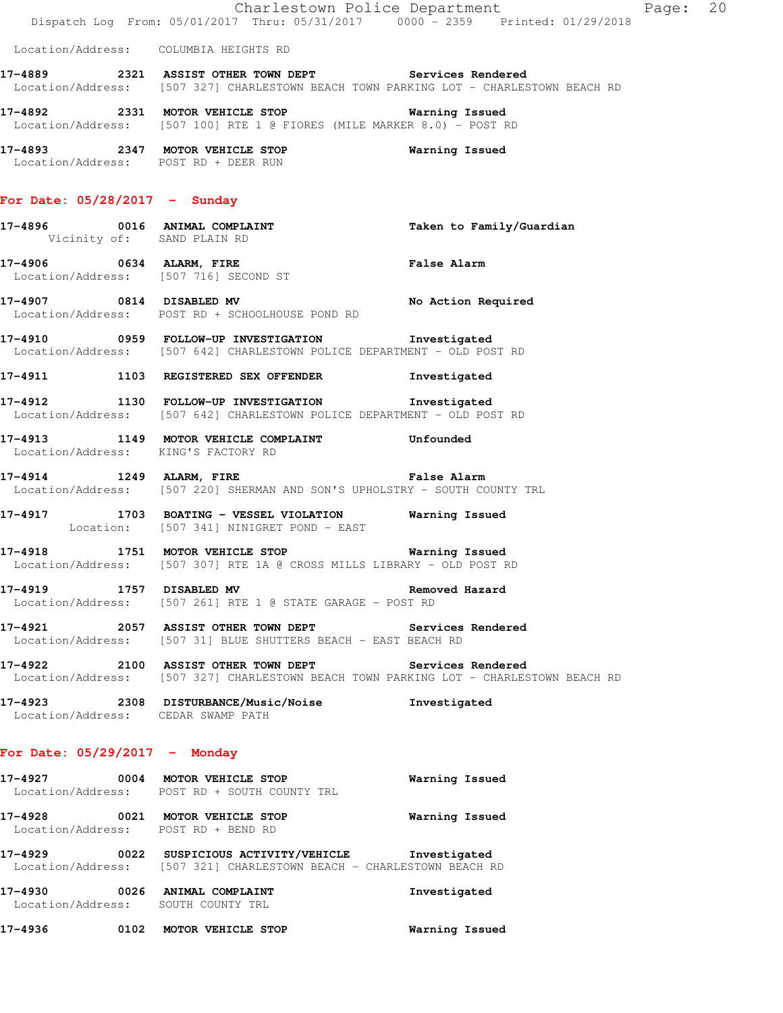|                                     | Dispatch Log From: 05/01/2017 Thru: 05/31/2017 0000 - 2359 Printed: 01/29/2018                                                                 | Charlestown Police Department | Page: 20 |  |
|-------------------------------------|------------------------------------------------------------------------------------------------------------------------------------------------|-------------------------------|----------|--|
|                                     | Location/Address: COLUMBIA HEIGHTS RD                                                                                                          |                               |          |  |
|                                     | 17-4889 2321 ASSIST OTHER TOWN DEPT Services Rendered<br>Location/Address: [507 327] CHARLESTOWN BEACH TOWN PARKING LOT - CHARLESTOWN BEACH RD |                               |          |  |
|                                     | 17-4892 2331 MOTOR VEHICLE STOP 6 Warning Issued<br>Location/Address: [507 100] RTE 1 @ FIORES (MILE MARKER 8.0) - POST RD                     |                               |          |  |
|                                     | 17-4893 2347 MOTOR VEHICLE STOP<br>Location/Address: POST RD + DEER RUN                                                                        | Warning Issued                |          |  |
| For Date: $05/28/2017 -$ Sunday     |                                                                                                                                                |                               |          |  |
| Vicinity of: SAND PLAIN RD          | 17-4896 0016 ANIMAL COMPLAINT                                                                                                                  | Taken to Family/Guardian      |          |  |
|                                     | 17-4906 0634 ALARM, FIRE 2008 False Alarm<br>Location/Address: [507 716] SECOND ST                                                             |                               |          |  |
|                                     | 17-4907 0814 DISABLED MV<br>Location/Address: POST RD + SCHOOLHOUSE POND RD                                                                    | No Action Required            |          |  |
|                                     | 17-4910 0959 FOLLOW-UP INVESTIGATION Investigated<br>Location/Address: [507 642] CHARLESTOWN POLICE DEPARTMENT - OLD POST RD                   |                               |          |  |
|                                     | 17-4911 1103 REGISTERED SEX OFFENDER                                                                                                           | Investigated                  |          |  |
|                                     | 17-4912 1130 FOLLOW-UP INVESTIGATION 1nvestigated<br>Location/Address: [507 642] CHARLESTOWN POLICE DEPARTMENT - OLD POST RD                   |                               |          |  |
| Location/Address: KING'S FACTORY RD | 17-4913 1149 MOTOR VEHICLE COMPLAINT Unfounded                                                                                                 |                               |          |  |
|                                     | 17-4914 1249 ALARM, FIRE <b>1249</b> ALARM END TRE<br>Location/Address: [507 220] SHERMAN AND SON'S UPHOLSTRY - SOUTH COUNTY TRL               |                               |          |  |
|                                     | 17-4917 1703 BOATING - VESSEL VIOLATION Warning Issued<br>Location: [507 341] NINIGRET POND - EAST                                             |                               |          |  |
|                                     | 17-4918 1751 MOTOR VEHICLE STOP 6 Warning Issued<br>Location/Address: [507 307] RTE 1A @ CROSS MILLS LIBRARY - OLD POST RD                     |                               |          |  |
| 17-4919 1757 DISABLED MV            | Location/Address: [507 261] RTE 1 @ STATE GARAGE - POST RD                                                                                     | Removed Hazard                |          |  |
|                                     | 17-4921 2057 ASSIST OTHER TOWN DEPT Services Rendered<br>Location/Address: [507 31] BLUE SHUTTERS BEACH - EAST BEACH RD                        |                               |          |  |
|                                     | 17-4922 2100 ASSIST OTHER TOWN DEPT Services Rendered<br>Location/Address: [507 327] CHARLESTOWN BEACH TOWN PARKING LOT - CHARLESTOWN BEACH RD |                               |          |  |
| Location/Address: CEDAR SWAMP PATH  | 17-4923 2308 DISTURBANCE/Music/Noise Investigated                                                                                              |                               |          |  |
| For Date: $05/29/2017$ - Monday     |                                                                                                                                                |                               |          |  |
|                                     | 17-4927 0004 MOTOR VEHICLE STOP<br>Location/Address: POST RD + SOUTH COUNTY TRL                                                                | Warning Issued                |          |  |
| Location/Address: POST RD + BEND RD | 17-4928 0021 MOTOR VEHICLE STOP 6 Warning Issued                                                                                               |                               |          |  |
|                                     | 17-4929 0022 SUSPICIOUS ACTIVITY/VEHICLE Investigated<br>Location/Address: [507 321] CHARLESTOWN BEACH - CHARLESTOWN BEACH RD                  |                               |          |  |
| Location/Address: SOUTH COUNTY TRL  | 17-4930 0026 ANIMAL COMPLAINT                                                                                                                  | Investigated                  |          |  |
|                                     | 17-4936 			 0102 MOTOR VEHICLE STOP 								 Warning Issued                                                                                    |                               |          |  |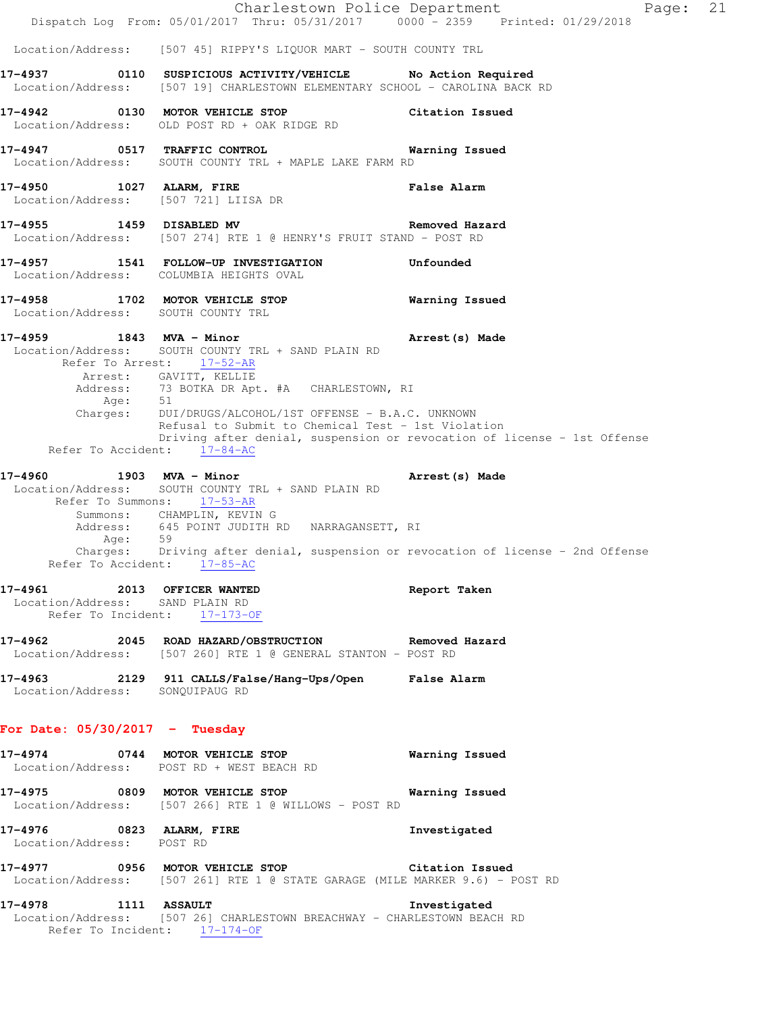|                                                                | Dispatch Log From: 05/01/2017 Thru: 05/31/2017 0000 - 2359 Printed: 01/29/2018                                                                                                                                                                                                                                    | Charlestown Police Department<br>Page:                                                                         | 21 |
|----------------------------------------------------------------|-------------------------------------------------------------------------------------------------------------------------------------------------------------------------------------------------------------------------------------------------------------------------------------------------------------------|----------------------------------------------------------------------------------------------------------------|----|
|                                                                | Location/Address: [507 45] RIPPY'S LIQUOR MART - SOUTH COUNTY TRL                                                                                                                                                                                                                                                 |                                                                                                                |    |
|                                                                | 17-4937 0110 SUSPICIOUS ACTIVITY/VEHICLE No Action Required<br>Location/Address: [507 19] CHARLESTOWN ELEMENTARY SCHOOL - CAROLINA BACK RD                                                                                                                                                                        |                                                                                                                |    |
|                                                                | 17-4942 0130 MOTOR VEHICLE STOP<br>Location/Address: OLD POST RD + OAK RIDGE RD                                                                                                                                                                                                                                   | Citation Issued                                                                                                |    |
| 17-4947 0517 TRAFFIC CONTROL                                   | Location/Address: SOUTH COUNTY TRL + MAPLE LAKE FARM RD                                                                                                                                                                                                                                                           | Warning Issued                                                                                                 |    |
| Location/Address: [507 721] LIISA DR                           | 17-4950 1027 ALARM, FIRE                                                                                                                                                                                                                                                                                          | <b>False Alarm</b>                                                                                             |    |
| 17-4955 1459 DISABLED MV                                       | Location/Address: [507 274] RTE 1 @ HENRY'S FRUIT STAND - POST RD                                                                                                                                                                                                                                                 | Removed Hazard                                                                                                 |    |
|                                                                | 17-4957 1541 FOLLOW-UP INVESTIGATION<br>Location/Address: COLUMBIA HEIGHTS OVAL                                                                                                                                                                                                                                   | Unfounded                                                                                                      |    |
| Location/Address: SOUTH COUNTY TRL                             | 17-4958 1702 MOTOR VEHICLE STOP                                                                                                                                                                                                                                                                                   | Warning Issued                                                                                                 |    |
| Refer To Accident: 17-84-AC                                    | 17-4959 1843 MVA - Minor<br>Location/Address: SOUTH COUNTY TRL + SAND PLAIN RD<br>Refer To Arrest: 17-52-AR<br>Arrest: GAVITT, KELLIE<br>Address: 73 BOTKA DR Apt. #A CHARLESTOWN, RI<br>Age: 51<br>Charges: DUI/DRUGS/ALCOHOL/1ST OFFENSE - B.A.C. UNKNOWN<br>Refusal to Submit to Chemical Test - 1st Violation | Arrest(s) Made<br>Driving after denial, suspension or revocation of license - 1st Offense                      |    |
| Refer To Accident: 17-85-AC                                    | 17-4960 1903 MVA - Minor<br>Location/Address: SOUTH COUNTY TRL + SAND PLAIN RD<br>Refer To Summons: 17-53-AR<br>Summons: CHAMPLIN, KEVIN G<br>Address: 645 POINT JUDITH RD NARRAGANSETT, RI                                                                                                                       | Arrest (s) Made<br>Age: 59<br>Charges: Driving after denial, suspension or revocation of license - 2nd Offense |    |
| 17-4961 2013 OFFICER WANTED<br>Location/Address: SAND PLAIN RD | Refer To Incident: 17-173-OF                                                                                                                                                                                                                                                                                      | Report Taken                                                                                                   |    |
|                                                                | 17-4962 2045 ROAD HAZARD/OBSTRUCTION Removed Hazard<br>Location/Address: [507 260] RTE 1 @ GENERAL STANTON - POST RD                                                                                                                                                                                              |                                                                                                                |    |
| Location/Address: SONQUIPAUG RD                                | 17-4963 2129 911 CALLS/False/Hang-Ups/Open False Alarm                                                                                                                                                                                                                                                            |                                                                                                                |    |
| For Date: $05/30/2017$ - Tuesday                               |                                                                                                                                                                                                                                                                                                                   |                                                                                                                |    |
|                                                                | 17-4974 0744 MOTOR VEHICLE STOP<br>Location/Address: POST RD + WEST BEACH RD                                                                                                                                                                                                                                      | Warning Issued                                                                                                 |    |
|                                                                | 17-4975 0809 MOTOR VEHICLE STOP 6 Warning Issued<br>Location/Address: [507 266] RTE 1 @ WILLOWS - POST RD                                                                                                                                                                                                         |                                                                                                                |    |
| 17-4976 0823 ALARM, FIRE<br>Location/Address: POST RD          |                                                                                                                                                                                                                                                                                                                   | Investigated                                                                                                   |    |
|                                                                | 17-4977 0956 MOTOR VEHICLE STOP Citation Issued<br>Location/Address: [507 261] RTE 1 @ STATE GARAGE (MILE MARKER 9.6) - POST RD                                                                                                                                                                                   |                                                                                                                |    |
| 17-4978 1111 ASSAULT                                           | Location/Address: [507 26] CHARLESTOWN BREACHWAY - CHARLESTOWN BEACH RD<br>Refer To Incident: 17-174-OF                                                                                                                                                                                                           | Investigated                                                                                                   |    |